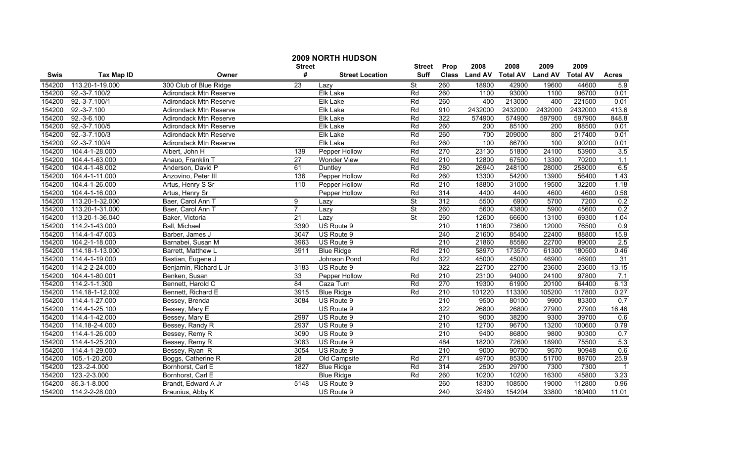|        |                   |                               |                  | 2009 NORTH HUDSON<br><b>Street</b> | <b>Street</b>            | Prop             | 2008           | 2008            | 2009           | 2009            |              |
|--------|-------------------|-------------------------------|------------------|------------------------------------|--------------------------|------------------|----------------|-----------------|----------------|-----------------|--------------|
| Swis   | <b>Tax Map ID</b> | Owner                         | #                | <b>Street Location</b>             | <b>Suff</b>              | <b>Class</b>     | <b>Land AV</b> | <b>Total AV</b> | <b>Land AV</b> | <b>Total AV</b> | <b>Acres</b> |
| 154200 | 113.20-1-19.000   | 300 Club of Blue Ridge        | 23               | Lazv                               | $\overline{\mathsf{St}}$ | 260              | 18900          | 42900           | 19600          | 44600           | 5.9          |
| 154200 | 92.-3-7.100/2     | <b>Adirondack Mtn Reserve</b> |                  | <b>Elk Lake</b>                    | Rd                       | 260              | 1100           | 93000           | 1100           | 96700           | 0.01         |
| 154200 | 92.-3-7.100/1     | <b>Adirondack Mtn Reserve</b> |                  | <b>Elk Lake</b>                    | Rd                       | 260              | 400            | 213000          | 400            | 221500          | 0.01         |
| 154200 | 92.-3-7.100       | Adirondack Mtn Reserve        |                  | Elk Lake                           | Rd                       | 910              | 2432000        | 2432000         | 2432000        | 2432000         | 413.6        |
| 154200 | 92.-3-6.100       | Adirondack Mtn Reserve        |                  | Elk Lake                           | Rd                       | 322              | 574900         | 574900          | 597900         | 597900          | 848.8        |
| 154200 | 92.-3-7.100/5     | Adirondack Mtn Reserve        |                  | Elk Lake                           | Rd                       | 260              | 200            | 85100           | 200            | 88500           | 0.01         |
| 154200 | $92.-3-7.100/3$   | Adirondack Mtn Reserve        |                  | <b>Elk Lake</b>                    | Rd                       | 260              | 700            | 209000          | 800            | 217400          | 0.01         |
| 154200 | 92.-3-7.100/4     | Adirondack Mtn Reserve        |                  | <b>Elk Lake</b>                    | Rd                       | 260              | 100            | 86700           | 100            | 90200           | 0.01         |
| 154200 | 104.4-1-28.000    | Albert, John H                | 139              | Pepper Hollow                      | Rd                       | 270              | 23130          | 51800           | 24100          | 53900           | 3.5          |
| 154200 | 104.4-1-63.000    | Anauo, Franklin T             | $\overline{27}$  | Wonder View                        | Rd                       | $\overline{210}$ | 12800          | 67500           | 13300          | 70200           | 1.1          |
| 154200 | 104.4-1-48.002    | Anderson, David P             | 61               | Duntley                            | Rd                       | 280              | 26940          | 248100          | 28000          | 258000          | 6.5          |
| 154200 | 104.4-1-11.000    | Anzovino, Peter III           | 136              | Pepper Hollow                      | Rd                       | 260              | 13300          | 54200           | 13900          | 56400           | 1.43         |
| 154200 | 104.4-1-26.000    | Artus, Henry S Sr             | $\overline{110}$ | Pepper Hollow                      | Rd                       | 210              | 18800          | 31000           | 19500          | 32200           | 1.18         |
| 154200 | 104.4-1-16.000    | Artus, Henry Sr               |                  | Pepper Hollow                      | Rd                       | 314              | 4400           | 4400            | 4600           | 4600            | 0.58         |
| 154200 | 113.20-1-32.000   | Baer, Carol Ann T             | 9                | Lazv                               | <b>St</b>                | 312              | 5500           | 6900            | 5700           | 7200            | 0.2          |
| 154200 | 113.20-1-31.000   | Baer, Carol Ann T             | $\overline{7}$   | Lazy                               | <b>St</b>                | 260              | 5600           | 43800           | 5900           | 45600           | 0.2          |
| 154200 | 113.20-1-36.040   | Baker, Victoria               | 21               | Lazy                               | $\overline{\mathsf{St}}$ | 260              | 12600          | 66600           | 13100          | 69300           | 1.04         |
| 154200 | 114.2-1-43.000    | Ball, Michael                 | 3390             | US Route 9                         |                          | $\overline{210}$ | 11600          | 73600           | 12000          | 76500           | 0.9          |
| 154200 | 114.4-1-47.003    | Barber, James J               | 3047             | US Route 9                         |                          | 240              | 21600          | 85400           | 22400          | 88800           | 15.9         |
| 154200 | 104.2-1-18.000    | Barnabei, Susan M             | 3963             | US Route 9                         |                          | 210              | 21860          | 85580           | 22700          | 89000           | 2.5          |
| 154200 | 114.18-1-13.000   | Barrett, Matthew L            | 3911             | <b>Blue Ridge</b>                  | Rd                       | 210              | 58970          | 173570          | 61300          | 180500          | 0.46         |
| 154200 | 114.4-1-19.000    | Bastian, Eugene J             |                  | Johnson Pond                       | Rd                       | $\overline{322}$ | 45000          | 45000           | 46900          | 46900           | 31           |
| 154200 | 114.2-2-24.000    | Benjamin, Richard L Jr        | 3183             | US Route 9                         |                          | 322              | 22700          | 22700           | 23600          | 23600           | 13.15        |
| 154200 | 104.4-1-80.001    | Benken, Susan                 | 33               | Pepper Hollow                      | Rd                       | $\overline{210}$ | 23100          | 94000           | 24100          | 97800           | 7.1          |
| 154200 | 114.2-1-1.300     | Bennett, Harold C             | 84               | Caza Turn                          | Rd                       | 270              | 19300          | 61900           | 20100          | 64400           | 6.13         |
| 154200 | 114.18-1-12.002   | Bennett, Richard E            | 3915             | <b>Blue Ridge</b>                  | Rd                       | $\overline{210}$ | 101220         | 113300          | 105200         | 117800          | 0.27         |
| 154200 | 114.4-1-27.000    | Bessey, Brenda                | 3084             | US Route 9                         |                          | 210              | 9500           | 80100           | 9900           | 83300           | 0.7          |
| 154200 | 114.4-1-25.100    | Bessey, Mary E                |                  | US Route 9                         |                          | 322              | 26800          | 26800           | 27900          | 27900           | 16.46        |
| 154200 | 114.4-1-42.000    | Bessey, Mary E                | 2997             | US Route 9                         |                          | 210              | 9000           | 38200           | 9300           | 39700           | 0.6          |
| 154200 | 114.18-2-4.000    | Bessey, Randy R               | 2937             | US Route 9                         |                          | 210              | 12700          | 96700           | 13200          | 100600          | 0.79         |
| 154200 | 114.4-1-26.000    | Bessey, Remy R                | 3090             | US Route 9                         |                          | 210              | 9400           | 86800           | 9800           | 90300           | 0.7          |
| 154200 | 114.4-1-25.200    | Bessey, Remy R                | 3083             | US Route 9                         |                          | 484              | 18200          | 72600           | 18900          | 75500           | 5.3          |
| 154200 | 114.4-1-29.000    | Bessey, Ryan R                | 3054             | US Route 9                         |                          | 210              | 9000           | 90700           | 9570           | 90948           | 0.6          |
| 154200 | 105.-1-20.200     | Boggs, Catherine R            | 28               | Old Campsite                       | Rd                       | 271              | 49700          | 85300           | 51700          | 88700           | 25.9         |
| 154200 | 123.-2-4.000      | Bornhorst, Carl E             | 1827             | <b>Blue Ridge</b>                  | Rd                       | 314              | 2500           | 29700           | 7300           | 7300            |              |
| 154200 | 123.-2-3.000      | Bornhorst, Carl E             |                  | <b>Blue Ridge</b>                  | Rd                       | 260              | 10200          | 10200           | 16300          | 45800           | 3.23         |
| 154200 | 85.3-1-8.000      | Brandt, Edward A Jr           | 5148             | US Route 9                         |                          | 260              | 18300          | 108500          | 19000          | 112800          | 0.96         |
| 154200 | 114.2-2-28.000    | Braunius, Abby K              |                  | US Route 9                         |                          | 240              | 32460          | 154204          | 33800          | 160400          | 11.01        |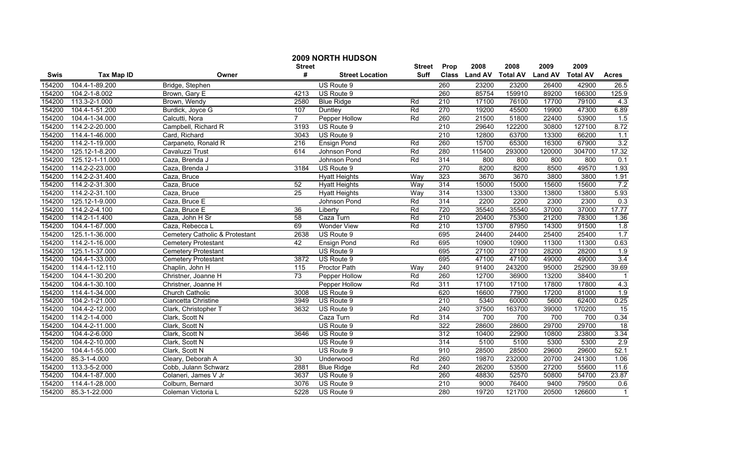|             |                   |                                           | <b>Street</b>   | 2009 NORTH HUDSON      | <b>Street</b> | Prop             | 2008           | 2008            | 2009           | 2009            |                 |
|-------------|-------------------|-------------------------------------------|-----------------|------------------------|---------------|------------------|----------------|-----------------|----------------|-----------------|-----------------|
| <b>Swis</b> | <b>Tax Map ID</b> | Owner                                     | #               | <b>Street Location</b> | <b>Suff</b>   | <b>Class</b>     | <b>Land AV</b> | <b>Total AV</b> | <b>Land AV</b> | <b>Total AV</b> | <b>Acres</b>    |
| 154200      | 104.4-1-89.200    | Bridge, Stephen                           |                 | US Route 9             |               | 260              | 23200          | 23200           | 26400          | 42900           | 26.5            |
| 154200      | 104.2-1-8.002     | Brown, Gary E                             | 4213            | US Route 9             |               | 260              | 85754          | 159910          | 89200          | 166300          | 125.9           |
| 154200      | 113.3-2-1.000     | Brown, Wendy                              | 2580            | <b>Blue Ridge</b>      | Rd            | $\overline{210}$ | 17100          | 76100           | 17700          | 79100           | 4.3             |
| 154200      | 104.4-1-51.200    | Burdick, Joyce G                          | 107             | Duntley                | Rd            | 270              | 19200          | 45500           | 19900          | 47300           | 6.89            |
| 154200      | 104.4-1-34.000    | Calcutti, Nora                            | $\overline{7}$  | Pepper Hollow          | Rd            | 260              | 21500          | 51800           | 22400          | 53900           | 1.5             |
| 154200      | 114.2-2-20.000    | Campbell, Richard R                       | 3193            | US Route 9             |               | 210              | 29640          | 122200          | 30800          | 127100          | 8.72            |
| 154200      | 114.4-1-46.000    | Card, Richard                             | 3043            | US Route 9             |               | 210              | 12800          | 63700           | 13300          | 66200           | 1.1             |
| 154200      | 114.2-1-19.000    | Carpaneto, Ronald R                       | 216             | <b>Ensign Pond</b>     | Rd            | 260              | 15700          | 65300           | 16300          | 67900           | 3.2             |
| 154200      | 125.12-1-8.200    | Cavaluzzi Trust                           | 614             | Johnson Pond           | Rd            | 280              | 115400         | 293000          | 120000         | 304700          | 17.32           |
| 154200      | 125.12-1-11.000   | Caza, Brenda J                            |                 | Johnson Pond           | Rd            | 314              | 800            | 800             | 800            | 800             | 0.1             |
| 154200      | 114.2-2-23.000    | Caza, Brenda J                            | 3184            | US Route 9             |               | $\overline{270}$ | 8200           | 8200            | 8500           | 49570           | 1.93            |
| 154200      | 114.2-2-31.400    | Caza, Bruce                               |                 | <b>Hyatt Heights</b>   | Way           | 323              | 3670           | 3670            | 3800           | 3800            | 1.91            |
| 154200      | 114.2-2-31.300    | Caza, Bruce                               | 52              | <b>Hyatt Heights</b>   | Way           | 314              | 15000          | 15000           | 15600          | 15600           | 7.2             |
| 154200      | 114.2-2-31.100    | Caza, Bruce                               | $\overline{25}$ | <b>Hyatt Heights</b>   | Way           | 314              | 13300          | 13300           | 13800          | 13800           | 5.93            |
| 154200      | 125.12-1-9.000    | Caza, Bruce E                             |                 | Johnson Pond           | Rd            | 314              | 2200           | 2200            | 2300           | 2300            | 0.3             |
| 154200      | 114.2-2-4.100     | Caza, Bruce E                             | 36              | Liberty                | Rd            | 720              | 35540          | 35540           | 37000          | 37000           | 17.77           |
| 154200      | 114.2-1-1.400     | Caza, John H Sr                           | 58              | Caza Turn              | Rd            | 210              | 20400          | 75300           | 21200          | 78300           | 1.36            |
| 154200      | 104.4-1-67.000    | Caza, Rebecca L                           | 69              | <b>Wonder View</b>     | Rd            | $\overline{210}$ | 13700          | 87950           | 14300          | 91500           | 1.8             |
| 154200      | 125.1-1-36.000    | <b>Cemetery Catholic &amp; Protestant</b> | 2638            | US Route 9             |               | 695              | 24400          | 24400           | 25400          | 25400           | 1.7             |
| 154200      | 114.2-1-16.000    | <b>Cemetery Protestant</b>                | 42              | <b>Ensign Pond</b>     | Rd            | 695              | 10900          | 10900           | 11300          | 11300           | 0.63            |
| 154200      | 125.1-1-37.000    | <b>Cemetery Protestant</b>                |                 | US Route 9             |               | 695              | 27100          | 27100           | 28200          | 28200           | 1.9             |
| 154200      | 104.4-1-33.000    | <b>Cemetery Protestant</b>                | 3872            | US Route 9             |               | 695              | 47100          | 47100           | 49000          | 49000           | 3.4             |
| 154200      | 114.4-1-12.110    | Chaplin, John H                           | 115             | Proctor Path           | Way           | 240              | 91400          | 243200          | 95000          | 252900          | 39.69           |
| 154200      | 104.4-1-30.200    | Christner, Joanne H                       | $\overline{73}$ | Pepper Hollow          | Rd            | 260              | 12700          | 36900           | 13200          | 38400           | $\overline{1}$  |
| 154200      | 104.4-1-30.100    | Christner, Joanne H                       |                 | Pepper Hollow          | Rd            | 311              | 17100          | 17100           | 17800          | 17800           | 4.3             |
| 154200      | 114.4-1-34.000    | Church Catholic                           | 3008            | US Route 9             |               | 620              | 16600          | 77900           | 17200          | 81000           | 1.9             |
| 154200      | 104.2-1-21.000    | Ciancetta Christine                       | 3949            | US Route 9             |               | 210              | 5340           | 60000           | 5600           | 62400           | 0.25            |
| 154200      | 104.4-2-12.000    | Clark, Christopher T                      | 3632            | US Route 9             |               | 240              | 37500          | 163700          | 39000          | 170200          | 15              |
| 154200      | 114.2-1-4.000     | Clark, Scott N                            |                 | Caza Turn              | Rd            | 314              | 700            | 700             | 700            | 700             | 0.34            |
| 154200      | 104.4-2-11.000    | Clark, Scott N                            |                 | US Route 9             |               | 322              | 28600          | 28600           | 29700          | 29700           | $\overline{18}$ |
| 154200      | 104.4-2-6.000     | Clark, Scott N                            | 3646            | US Route 9             |               | 312              | 10400          | 22900           | 10800          | 23800           | 3.34            |
| 154200      | 104.4-2-10.000    | Clark, Scott N                            |                 | US Route 9             |               | 314              | 5100           | 5100            | 5300           | 5300            | 2.9             |
| 154200      | 104.4-1-55.000    | Clark, Scott N                            |                 | US Route 9             |               | 910              | 28500          | 28500           | 29600          | 29600           | 52.1            |
| 154200      | 85.3-1-4.000      | Cleary, Deborah A                         | 30              | Underwood              | Rd            | 260              | 19870          | 232000          | 20700          | 241300          | 1.06            |
| 154200      | 113.3-5-2.000     | Cobb, Julann Schwarz                      | 2881            | <b>Blue Ridge</b>      | Rd            | $\overline{240}$ | 26200          | 53500           | 27200          | 55600           | 11.6            |
| 154200      | 104.4-1-87.000    | Colaneri, James V Jr                      | 3637            | US Route 9             |               | 260              | 48830          | 52570           | 50800          | 54700           | 23.87           |
| 154200      | 114.4-1-28.000    | Colburn, Bernard                          | 3076            | US Route 9             |               | $\overline{210}$ | 9000           | 76400           | 9400           | 79500           | 0.6             |
| 154200      | 85.3-1-22.000     | Coleman Victoria L                        | 5228            | US Route 9             |               | 280              | 19720          | 121700          | 20500          | 126600          | $\overline{1}$  |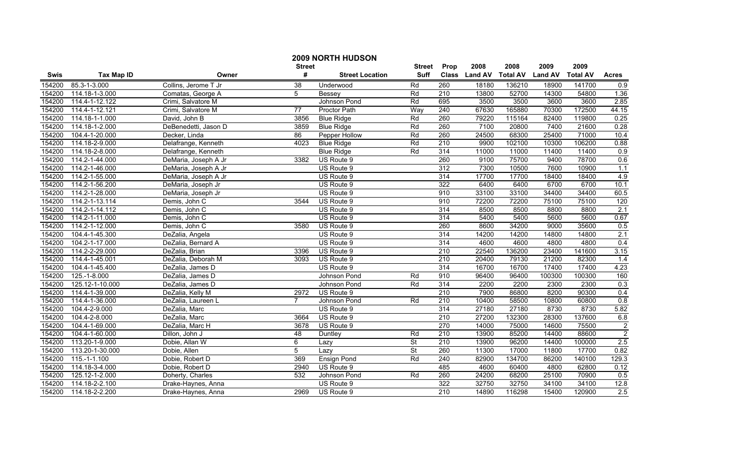|             |                   |                      | <b>Street</b>   | 2009 NORTH HUDSON      | <b>Street</b>            | Prop             | 2008           | 2008            | 2009           | 2009            |                |
|-------------|-------------------|----------------------|-----------------|------------------------|--------------------------|------------------|----------------|-----------------|----------------|-----------------|----------------|
| <b>Swis</b> | <b>Tax Map ID</b> | Owner                | #               | <b>Street Location</b> | <b>Suff</b>              | <b>Class</b>     | <b>Land AV</b> | <b>Total AV</b> | <b>Land AV</b> | <b>Total AV</b> | <b>Acres</b>   |
| 154200      | 85.3-1-3.000      | Collins, Jerome T Jr | $\overline{38}$ | Underwood              | Rd                       | 260              | 18180          | 136210          | 18900          | 141700          | 0.9            |
| 154200      | 114.18-1-3.000    | Comatas, George A    | 5               | Bessey                 | Rd                       | $\overline{210}$ | 13800          | 52700           | 14300          | 54800           | 1.36           |
| 154200      | 114.4-1-12.122    | Crimi, Salvatore M   |                 | Johnson Pond           | Rd                       | 695              | 3500           | 3500            | 3600           | 3600            | 2.85           |
| 154200      | 114.4-1-12.121    | Crimi, Salvatore M   | $\overline{77}$ | <b>Proctor Path</b>    | Way                      | 240              | 67630          | 165880          | 70300          | 172500          | 44.15          |
| 154200      | 114.18-1-1.000    | David, John B        | 3856            | <b>Blue Ridge</b>      | Rd                       | 260              | 79220          | 115164          | 82400          | 119800          | 0.25           |
| 154200      | 114.18-1-2.000    | DeBenedetti, Jason D | 3859            | <b>Blue Ridge</b>      | Rd                       | 260              | 7100           | 20800           | 7400           | 21600           | 0.28           |
| 154200      | 104.4-1-20.000    | Decker, Linda        | 86              | Pepper Hollow          | Rd                       | 260              | 24500          | 68300           | 25400          | 71000           | 10.4           |
| 154200      | 114.18-2-9.000    | Delafrange, Kenneth  | 4023            | <b>Blue Ridge</b>      | Rd                       | 210              | 9900           | 102100          | 10300          | 106200          | 0.88           |
| 154200      | 114.18-2-8.000    | Delafrange, Kenneth  |                 | <b>Blue Ridge</b>      | Rd                       | 314              | 11000          | 11000           | 11400          | 11400           | 0.9            |
| 154200      | 114.2-1-44.000    | DeMaria, Joseph A Jr | 3382            | US Route 9             |                          | 260              | 9100           | 75700           | 9400           | 78700           | 0.6            |
| 154200      | 114.2-1-46.000    | DeMaria, Joseph A Jr |                 | US Route 9             |                          | 312              | 7300           | 10500           | 7600           | 10900           | 1.1            |
| 154200      | 114.2-1-55.000    | DeMaria, Joseph A Jr |                 | US Route 9             |                          | 314              | 17700          | 17700           | 18400          | 18400           | 4.9            |
| 154200      | 114.2-1-56.200    | DeMaria, Joseph Jr   |                 | US Route 9             |                          | 322              | 6400           | 6400            | 6700           | 6700            | 10.1           |
| 154200      | 114.2-1-28.000    | DeMaria, Joseph Jr   |                 | US Route 9             |                          | 910              | 33100          | 33100           | 34400          | 34400           | 60.5           |
| 154200      | 114.2-1-13.114    | Demis, John C        | 3544            | US Route 9             |                          | 910              | 72200          | 72200           | 75100          | 75100           | 120            |
| 154200      | 114.2-1-14.112    | Demis, John C        |                 | US Route 9             |                          | 314              | 8500           | 8500            | 8800           | 8800            | 2.1            |
| 154200      | 114.2-1-11.000    | Demis, John C        |                 | US Route 9             |                          | 314              | 5400           | 5400            | 5600           | 5600            | 0.67           |
| 154200      | 114.2-1-12.000    | Demis, John C        | 3580            | US Route 9             |                          | 260              | 8600           | 34200           | 9000           | 35600           | 0.5            |
| 154200      | 104.4-1-45.300    | DeZalia, Angela      |                 | US Route 9             |                          | 314              | 14200          | 14200           | 14800          | 14800           | 2.1            |
| 154200      | 104.2-1-17.000    | DeZalia, Bernard A   |                 | US Route 9             |                          | 314              | 4600           | 4600            | 4800           | 4800            | 0.4            |
| 154200      | 114.2-2-29.000    | DeZalia, Brian       | 3396            | US Route 9             |                          | $\overline{210}$ | 22540          | 136200          | 23400          | 141600          | 3.15           |
| 154200      | 114.4-1-45.001    | DeZalia, Deborah M   | 3093            | US Route 9             |                          | $\overline{210}$ | 20400          | 79130           | 21200          | 82300           | 1.4            |
| 154200      | 104.4-1-45.400    | DeZalia, James D     |                 | US Route 9             |                          | 314              | 16700          | 16700           | 17400          | 17400           | 4.23           |
| 154200      | 125.-1-8.000      | DeZalia, James D     |                 | Johnson Pond           | Rd                       | 910              | 96400          | 96400           | 100300         | 100300          | 160            |
| 154200      | 125.12-1-10.000   | DeZalia, James D     |                 | Johnson Pond           | Rd                       | 314              | 2200           | 2200            | 2300           | 2300            | 0.3            |
| 154200      | 114.4-1-39.000    | DeZalia, Kelly M     | 2972            | US Route 9             |                          | 210              | 7900           | 86800           | 8200           | 90300           | 0.4            |
| 154200      | 114.4-1-36.000    | DeZalia, Laureen L   | $\overline{7}$  | Johnson Pond           | Rd                       | 210              | 10400          | 58500           | 10800          | 60800           | 0.8            |
| 154200      | 104.4-2-9.000     | DeZalia, Marc        |                 | US Route 9             |                          | 314              | 27180          | 27180           | 8730           | 8730            | 5.82           |
| 154200      | 104.4-2-8.000     | DeZalia, Marc        | 3664            | US Route 9             |                          | $\overline{210}$ | 27200          | 132300          | 28300          | 137600          | 6.8            |
| 154200      | 104.4-1-69.000    | DeZalia, Marc H      | 3678            | US Route 9             |                          | 270              | 14000          | 75000           | 14600          | 75500           | $\overline{2}$ |
| 154200      | 104.4-1-60.000    | Dillon, John J       | 48              | Duntley                | Rd                       | $\overline{210}$ | 13900          | 85200           | 14400          | 88600           | $\overline{2}$ |
| 154200      | 113.20-1-9.000    | Dobie, Allan W       | $\overline{6}$  | Lazy                   | $\overline{\mathsf{St}}$ | 210              | 13900          | 96200           | 14400          | 100000          | 2.5            |
| 154200      | 113.20-1-30.000   | Dobie, Allen         | $\overline{5}$  | Lazv                   | St                       | 260              | 11300          | 17000           | 11800          | 17700           | 0.82           |
| 154200      | $115.-1-1.100$    | Dobie, Robert D      | 369             | <b>Ensign Pond</b>     | Rd                       | 240              | 82900          | 134700          | 86200          | 140100          | 129.3          |
| 154200      | 114.18-3-4.000    | Dobie, Robert D      | 2940            | US Route 9             |                          | 485              | 4600           | 60400           | 4800           | 62800           | 0.12           |
| 154200      | 125.12-1-2.000    | Doherty, Charles     | 532             | Johnson Pond           | Rd                       | 260              | 24200          | 68200           | 25100          | 70900           | 0.5            |
| 154200      | 114.18-2-2.100    | Drake-Haynes, Anna   |                 | US Route 9             |                          | 322              | 32750          | 32750           | 34100          | 34100           | 12.8           |
| 154200      | 114.18-2-2.200    | Drake-Haynes, Anna   | 2969            | US Route 9             |                          | 210              | 14890          | 116298          | 15400          | 120900          | 2.5            |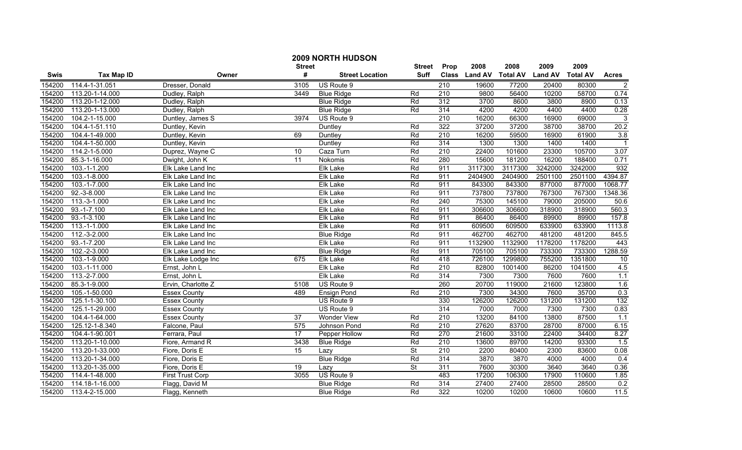|        |                   |                         | <b>Street</b> | <b>2009 NORTH HUDSON</b> | <b>Street</b>            | Prop             | 2008          | 2008            | 2009           | 2009            |                   |
|--------|-------------------|-------------------------|---------------|--------------------------|--------------------------|------------------|---------------|-----------------|----------------|-----------------|-------------------|
| Swis   | <b>Tax Map ID</b> | Owner                   | #             | Street Location          | <b>Suff</b>              |                  | Class Land AV | <b>Total AV</b> | <b>Land AV</b> | <b>Total AV</b> | <b>Acres</b>      |
| 154200 | 114.4-1-31.051    | Dresser, Donald         | 3105          | US Route 9               |                          | $\overline{210}$ | 19600         | 77200           | 20400          | 80300           | $\overline{2}$    |
| 154200 | 113.20-1-14.000   | Dudley, Ralph           | 3449          | <b>Blue Ridge</b>        | Rd                       | $\overline{210}$ | 9800          | 56400           | 10200          | 58700           | 0.74              |
| 154200 | 113.20-1-12.000   | Dudley, Ralph           |               | <b>Blue Ridge</b>        | Rd                       | 312              | 3700          | 8600            | 3800           | 8900            | 0.13              |
| 154200 | 113.20-1-13.000   | Dudley, Ralph           |               | <b>Blue Ridge</b>        | Rd                       | 314              | 4200          | 4200            | 4400           | 4400            | 0.28              |
| 154200 | 104.2-1-15.000    | Duntley, James S        | 3974          | US Route 9               |                          | 210              | 16200         | 66300           | 16900          | 69000           | 3                 |
| 154200 | 104.4-1-51.110    | Duntley, Kevin          |               | Duntley                  | Rd                       | 322              | 37200         | 37200           | 38700          | 38700           | 20.2              |
| 154200 | 104.4-1-49.000    | Duntley, Kevin          | 69            | Duntley                  | Rd                       | 210              | 16200         | 59500           | 16900          | 61900           | 3.8               |
| 154200 | 104.4-1-50.000    | Duntley, Kevin          |               | Duntley                  | Rd                       | 314              | 1300          | 1300            | 1400           | 1400            | $\overline{1}$    |
| 154200 | 114.2-1-5.000     | Duprez, Wayne C         | 10            | Caza Turn                | Rd                       | $\overline{210}$ | 22400         | 101600          | 23300          | 105700          | $\overline{3.07}$ |
| 154200 | 85.3-1-16.000     | Dwight, John K          | 11            | Nokomis                  | Rd                       | 280              | 15600         | 181200          | 16200          | 188400          | 0.71              |
| 154200 | 103.-1-1.200      | Elk Lake Land Inc       |               | <b>Elk Lake</b>          | Rd                       | 911              | 3117300       | 3117300         | 3242000        | 3242000         | 932               |
| 154200 | 103.-1-8.000      | Elk Lake Land Inc       |               | Elk Lake                 | Rd                       | 911              | 2404900       | 2404900         | 2501100        | 2501100         | 4394.87           |
| 154200 | 103.-1-7.000      | Elk Lake Land Inc       |               | <b>Elk Lake</b>          | Rd                       | 911              | 843300        | 843300          | 877000         | 877000          | 1068.77           |
| 154200 | $92.-3-8.000$     | Elk Lake Land Inc       |               | <b>Elk Lake</b>          | Rd                       | 911              | 737800        | 737800          | 767300         | 767300          | 1348.36           |
| 154200 | 113.-3-1.000      | Elk Lake Land Inc       |               | Elk Lake                 | Rd                       | 240              | 75300         | 145100          | 79000          | 205000          | 50.6              |
| 154200 | 93.-1-7.100       | Elk Lake Land Inc       |               | Elk Lake                 | Rd                       | 911              | 306600        | 306600          | 318900         | 318900          | 560.3             |
| 154200 | $93.-1-3.100$     | Elk Lake Land Inc       |               | Elk Lake                 | Rd                       | 911              | 86400         | 86400           | 89900          | 89900           | 157.8             |
| 154200 | $113.-1-1.000$    | Elk Lake Land Inc       |               | <b>Elk Lake</b>          | Rd                       | 911              | 609500        | 609500          | 633900         | 633900          | 1113.8            |
| 154200 | $112.-3-2.000$    | Elk Lake Land Inc       |               | <b>Blue Ridge</b>        | Rd                       | 911              | 462700        | 462700          | 481200         | 481200          | 845.5             |
| 154200 | $93.-1-7.200$     | Elk Lake Land Inc       |               | <b>Elk Lake</b>          | Rd                       | 911              | 1132900       | 1132900         | 1178200        | 1178200         | 443               |
| 154200 | $102.-2-3.000$    | Elk Lake Land Inc       |               | <b>Blue Ridge</b>        | Rd                       | 911              | 705100        | 705100          | 733300         | 733300          | 1288.59           |
| 154200 | 103.-1-9.000      | Elk Lake Lodge Inc      | 675           | Elk Lake                 | Rd                       | 418              | 726100        | 1299800         | 755200         | 1351800         | 10                |
| 154200 | 103.-1-11.000     | Ernst, John L           |               | <b>Elk Lake</b>          | Rd                       | $\overline{210}$ | 82800         | 1001400         | 86200          | 1041500         | 4.5               |
| 154200 | 113.-2-7.000      | Ernst, John L           |               | <b>Elk Lake</b>          | Rd                       | 314              | 7300          | 7300            | 7600           | 7600            | 1.1               |
| 154200 | 85.3-1-9.000      | Ervin, Charlotte Z      | 5108          | US Route 9               |                          | 260              | 20700         | 119000          | 21600          | 123800          | 1.6               |
| 154200 | 105.-1-50.000     | <b>Essex County</b>     | 489           | <b>Ensign Pond</b>       | Rd                       | 210              | 7300          | 34300           | 7600           | 35700           | 0.3               |
| 154200 | 125.1-1-30.100    | <b>Essex County</b>     |               | US Route 9               |                          | 330              | 126200        | 126200          | 131200         | 131200          | 132               |
| 154200 | 125.1-1-29.000    | <b>Essex County</b>     |               | US Route 9               |                          | $\overline{314}$ | 7000          | 7000            | 7300           | 7300            | 0.83              |
| 154200 | 104.4-1-64.000    | <b>Essex County</b>     | 37            | <b>Wonder View</b>       | Rd                       | 210              | 13200         | 84100           | 13800          | 87500           | 1.1               |
| 154200 | 125.12-1-8.340    | Falcone, Paul           | 575           | Johnson Pond             | Rd                       | 210              | 27620         | 83700           | 28700          | 87000           | 6.15              |
| 154200 | 104.4-1-90.001    | Ferrara, Paul           | 17            | Pepper Hollow            | Rd                       | 270              | 21600         | 33100           | 22400          | 34400           | 8.27              |
| 154200 | 113.20-1-10.000   | Fiore, Armand R         | 3438          | <b>Blue Ridge</b>        | Rd                       | 210              | 13600         | 89700           | 14200          | 93300           | 1.5               |
| 154200 | 113.20-1-33.000   | Fiore, Doris E          | 15            | Lazy                     | $\overline{\mathsf{St}}$ | 210              | 2200          | 80400           | 2300           | 83600           | 0.08              |
| 154200 | 113.20-1-34.000   | Fiore, Doris E          |               | <b>Blue Ridge</b>        | Rd                       | $\overline{314}$ | 3870          | 3870            | 4000           | 4000            | 0.4               |
| 154200 | 113.20-1-35.000   | Fiore, Doris E          | 19            | Lazy                     | St                       | 311              | 7600          | 30300           | 3640           | 3640            | 0.36              |
| 154200 | 114.4-1-48.000    | <b>First Trust Corp</b> | 3055          | US Route 9               |                          | 483              | 17200         | 106300          | 17900          | 110600          | 1.85              |
| 154200 | 114.18-1-16.000   | Flagg, David M          |               | <b>Blue Ridge</b>        | Rd                       | 314              | 27400         | 27400           | 28500          | 28500           | 0.2               |
| 154200 | 113.4-2-15.000    | Flagg, Kenneth          |               | <b>Blue Ridge</b>        | Rd                       | 322              | 10200         | 10200           | 10600          | 10600           | 11.5              |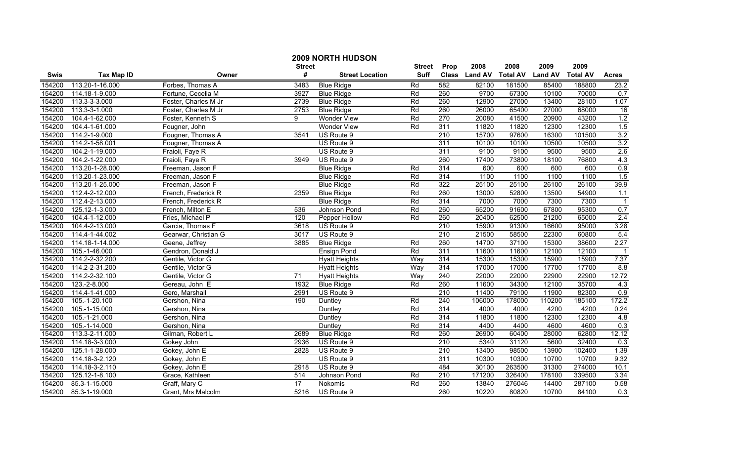|             | <b>2009 NORTH HUDSON</b> |                      |                 |                        |               |                  |                |                 |                |                 |                |  |
|-------------|--------------------------|----------------------|-----------------|------------------------|---------------|------------------|----------------|-----------------|----------------|-----------------|----------------|--|
|             |                          |                      | <b>Street</b>   |                        | <b>Street</b> | Prop             | 2008           | 2008            | 2009           | 2009            |                |  |
| <b>Swis</b> | <b>Tax Map ID</b>        | Owner                | #               | <b>Street Location</b> | <b>Suff</b>   | <b>Class</b>     | <b>Land AV</b> | <b>Total AV</b> | <b>Land AV</b> | <b>Total AV</b> | <b>Acres</b>   |  |
| 154200      | 113.20-1-16.000          | Forbes, Thomas A     | 3483            | <b>Blue Ridge</b>      | Rd            | 582              | 82100          | 181500          | 85400          | 188800          | 23.2           |  |
| 154200      | 114.18-1-9.000           | Fortune, Cecelia M   | 3927            | <b>Blue Ridge</b>      | Rd            | 260              | 9700           | 67300           | 10100          | 70000           | 0.7            |  |
| 154200      | 113.3-3-3.000            | Foster, Charles M Jr | 2739            | <b>Blue Ridge</b>      | Rd            | 260              | 12900          | 27000           | 13400          | 28100           | 1.07           |  |
| 154200      | 113.3-3-1.000            | Foster, Charles M Jr | 2753            | <b>Blue Ridge</b>      | Rd            | 260              | 26000          | 65400           | 27000          | 68000           | 16             |  |
| 154200      | 104.4-1-62.000           | Foster, Kenneth S    | 9               | <b>Wonder View</b>     | Rd            | 270              | 20080          | 41500           | 20900          | 43200           | 1.2            |  |
| 154200      | 104.4-1-61.000           | Fougner, John        |                 | <b>Wonder View</b>     | Rd            | 311              | 11820          | 11820           | 12300          | 12300           | 1.5            |  |
| 154200      | 114.2-1-9.000            | Fougner, Thomas A    | 3541            | US Route 9             |               | 210              | 15700          | 97600           | 16300          | 101500          | 3.2            |  |
| 154200      | 114.2-1-58.001           | Fougner, Thomas A    |                 | US Route 9             |               | 311              | 10100          | 10100           | 10500          | 10500           | 3.2            |  |
| 154200      | 104.2-1-19.000           | Fraioli, Faye R      |                 | US Route 9             |               | 311              | 9100           | 9100            | 9500           | 9500            | 2.6            |  |
| 154200      | 104.2-1-22.000           | Fraioli, Faye R      | 3949            | US Route 9             |               | 260              | 17400          | 73800           | 18100          | 76800           | 4.3            |  |
| 154200      | 113.20-1-28.000          | Freeman, Jason F     |                 | <b>Blue Ridge</b>      | Rd            | 314              | 600            | 600             | 600            | 600             | 0.9            |  |
| 154200      | 113.20-1-23.000          | Freeman, Jason F     |                 | <b>Blue Ridge</b>      | Rd            | $\overline{314}$ | 1100           | 1100            | 1100           | 1100            | 1.5            |  |
| 154200      | 113.20-1-25.000          | Freeman, Jason F     |                 | <b>Blue Ridge</b>      | Rd            | 322              | 25100          | 25100           | 26100          | 26100           | 39.9           |  |
| 154200      | 112.4-2-12.000           | French, Frederick R  | 2359            | <b>Blue Ridge</b>      | Rd            | 260              | 13000          | 52800           | 13500          | 54900           | 1.1            |  |
| 154200      | 112.4-2-13.000           | French, Frederick R  |                 | <b>Blue Ridge</b>      | Rd            | 314              | 7000           | 7000            | 7300           | 7300            | $\overline{1}$ |  |
| 154200      | 125.12-1-3.000           | French, Milton E     | 536             | Johnson Pond           | Rd            | 260              | 65200          | 91600           | 67800          | 95300           | 0.7            |  |
| 154200      | 104.4-1-12.000           | Fries, Michael P     | 120             | Pepper Hollow          | Rd            | 260              | 20400          | 62500           | 21200          | 65000           | 2.4            |  |
| 154200      | 104.4-2-13.000           | Garcia, Thomas F     | 3618            | US Route 9             |               | 210              | 15900          | 91300           | 16600          | 95000           | 3.28           |  |
| 154200      | 114.4-1-44.002           | Gearwar, Christian G | 3017            | US Route 9             |               | 210              | 21500          | 58500           | 22300          | 60800           | 5.4            |  |
| 154200      | 114.18-1-14.000          | Geene, Jeffrey       | 3885            | <b>Blue Ridge</b>      | Rd            | 260              | 14700          | 37100           | 15300          | 38600           | 2.27           |  |
| 154200      | 105.-1-46.000            | Gendron, Donald J    |                 | Ensign Pond            | Rd            | 311              | 11600          | 11600           | 12100          | 12100           | $\mathbf{1}$   |  |
| 154200      | 114.2-2-32.200           | Gentile, Victor G    |                 | <b>Hyatt Heights</b>   | Way           | 314              | 15300          | 15300           | 15900          | 15900           | 7.37           |  |
| 154200      | 114.2-2-31.200           | Gentile, Victor G    |                 | <b>Hyatt Heights</b>   | Way           | 314              | 17000          | 17000           | 17700          | 17700           | 8.8            |  |
| 154200      | 114.2-2-32.100           | Gentile, Victor G    | $\overline{71}$ | <b>Hyatt Heights</b>   | Way           | 240              | 22000          | 22000           | 22900          | 22900           | 12.72          |  |
| 154200      | 123.-2-8.000             | Gereau, John E       | 1932            | <b>Blue Ridge</b>      | Rd            | 260              | 11600          | 34300           | 12100          | 35700           | 4.3            |  |
| 154200      | 114.4-1-41.000           | Gero, Marshall       | 2991            | US Route 9             |               | $\overline{210}$ | 11400          | 79100           | 11900          | 82300           | 0.9            |  |
| 154200      | 105.-1-20.100            | Gershon, Nina        | 190             | Duntley                | Rd            | 240              | 106000         | 178000          | 110200         | 185100          | 172.2          |  |
| 154200      | 105.-1-15.000            | Gershon, Nina        |                 | Duntley                | Rd            | $\overline{314}$ | 4000           | 4000            | 4200           | 4200            | 0.24           |  |
| 154200      | 105.-1-21.000            | Gershon, Nina        |                 | Duntley                | Rd            | 314              | 11800          | 11800           | 12300          | 12300           | 4.8            |  |
| 154200      | 105.-1-14.000            | Gershon, Nina        |                 | Duntley                | Rd            | 314              | 4400           | 4400            | 4600           | 4600            | 0.3            |  |
| 154200      | 113.3-2-11.000           | Gilman, Robert L     | 2689            | <b>Blue Ridge</b>      | Rd            | 260              | 26900          | 60400           | 28000          | 62800           | 12.12          |  |
| 154200      | 114.18-3-3.000           | Gokey John           | 2936            | US Route 9             |               | 210              | 5340           | 31120           | 5600           | 32400           | 0.3            |  |
| 154200      | 125.1-1-28.000           | Gokey, John E        | 2828            | US Route 9             |               | 210              | 13400          | 98500           | 13900          | 102400          | 1.39           |  |
| 154200      | 114.18-3-2.120           | Gokey, John E        |                 | US Route 9             |               | 311              | 10300          | 10300           | 10700          | 10700           | 9.32           |  |
| 154200      | 114.18-3-2.110           | Gokey, John E        | 2918            | US Route 9             |               | 484              | 30100          | 263500          | 31300          | 274000          | 10.1           |  |
| 154200      | 125.12-1-8.100           | Grace, Kathleen      | 514             | Johnson Pond           | Rd            | $\overline{210}$ | 171200         | 326400          | 178100         | 339500          | 3.34           |  |
| 154200      | 85.3-1-15.000            | Graff, Mary C        | $\overline{17}$ | Nokomis                | Rd            | 260              | 13840          | 276046          | 14400          | 287100          | 0.58           |  |
| 154200      | 85.3-1-19.000            | Grant. Mrs Malcolm   | 5216            | US Route 9             |               | 260              | 10220          | 80820           | 10700          | 84100           | 0.3            |  |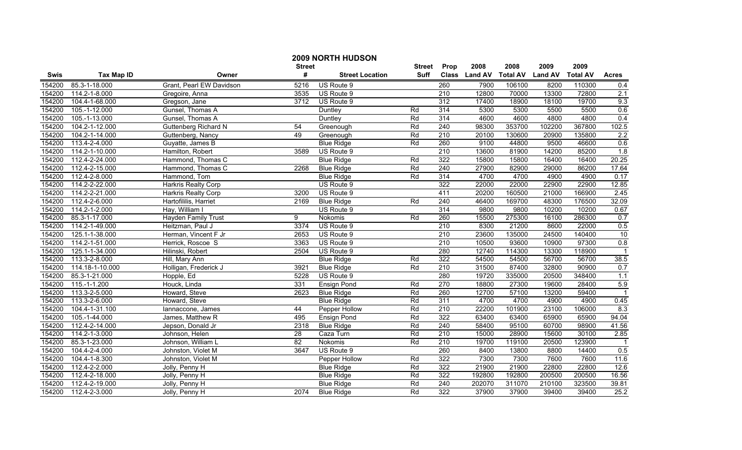|             |                   |                             | <b>Street</b> | 2009 NORTH HUDSON      | <b>Street</b> | Prop             | 2008           | 2008            | 2009           | 2009            |                         |
|-------------|-------------------|-----------------------------|---------------|------------------------|---------------|------------------|----------------|-----------------|----------------|-----------------|-------------------------|
| <b>Swis</b> | <b>Tax Map ID</b> | Owner                       | #             | <b>Street Location</b> | <b>Suff</b>   | <b>Class</b>     | <b>Land AV</b> | <b>Total AV</b> | <b>Land AV</b> | <b>Total AV</b> | <b>Acres</b>            |
| 154200      | 85.3-1-18.000     | Grant, Pearl EW Davidson    | 5216          | US Route 9             |               | 260              | 7900           | 106100          | 8200           | 110300          | 0.4                     |
| 154200      | 114.2-1-8.000     | Gregoire, Anna              | 3535          | US Route 9             |               | $\overline{210}$ | 12800          | 70000           | 13300          | 72800           | 2.1                     |
| 154200      | 104.4-1-68.000    | Gregson, Jane               | 3712          | US Route 9             |               | 312              | 17400          | 18900           | 18100          | 19700           | 9.3                     |
| 154200      | 105.-1-12.000     | Gunsel, Thomas A            |               | Duntley                | Rd            | 314              | 5300           | 5300            | 5500           | 5500            | 0.6                     |
| 154200      | 105.-1-13.000     | Gunsel, Thomas A            |               | Duntley                | Rd            | 314              | 4600           | 4600            | 4800           | 4800            | 0.4                     |
| 154200      | 104.2-1-12.000    | <b>Guttenberg Richard N</b> | 54            | Greenough              | Rd            | 240              | 98300          | 353700          | 102200         | 367800          | 102.5                   |
| 154200      | 104.2-1-14.000    | Guttenberg, Nancy           | 49            | Greenough              | Rd            | 210              | 20100          | 130600          | 20900          | 135800          | $\overline{2.2}$        |
| 154200      | 113.4-2-4.000     | Guyatte, James B            |               | <b>Blue Ridge</b>      | Rd            | 260              | 9100           | 44800           | 9500           | 46600           | 0.6                     |
| 154200      | 114.2-1-10.000    | Hamilton, Robert            | 3589          | US Route 9             |               | $\overline{210}$ | 13600          | 81900           | 14200          | 85200           | 1.8                     |
| 154200      | 112.4-2-24.000    | Hammond, Thomas C           |               | <b>Blue Ridge</b>      | Rd            | 322              | 15800          | 15800           | 16400          | 16400           | 20.25                   |
| 154200      | 112.4-2-15.000    | Hammond, Thomas C           | 2268          | <b>Blue Ridge</b>      | Rd            | 240              | 27900          | 82900           | 29000          | 86200           | 17.64                   |
| 154200      | 112.4-2-8.000     | Hammond, Tom                |               | <b>Blue Ridge</b>      | Rd            | 314              | 4700           | 4700            | 4900           | 4900            | 0.17                    |
| 154200      | 114.2-2-22.000    | Harkris Realty Corp         |               | US Route 9             |               | 322              | 22000          | 22000           | 22900          | 22900           | 12.85                   |
| 154200      | 114.2-2-21.000    | Harkris Realty Corp         | 3200          | US Route 9             |               | 411              | 20200          | 160500          | 21000          | 166900          | 2.45                    |
| 154200      | 112.4-2-6.000     | Hartofililis, Harriet       | 2169          | <b>Blue Ridge</b>      | Rd            | 240              | 46400          | 169700          | 48300          | 176500          | 32.09                   |
| 154200      | 114.2-1-2.000     | Hay, William I              |               | US Route 9             |               | 314              | 9800           | 9800            | 10200          | 10200           | 0.67                    |
| 154200      | 85.3-1-17.000     | <b>Hayden Family Trust</b>  | 9             | Nokomis                | Rd            | 260              | 15500          | 275300          | 16100          | 286300          | 0.7                     |
| 154200      | 114.2-1-49.000    | Heitzman, Paul J            | 3374          | US Route 9             |               | 210              | 8300           | 21200           | 8600           | 22000           | 0.5                     |
| 154200      | 125.1-1-38.000    | Herman, Vincent F Jr        | 2653          | US Route 9             |               | 210              | 23600          | 135000          | 24500          | 140400          | 10                      |
| 154200      | 114.2-1-51.000    | Herrick, Roscoe S           | 3363          | US Route 9             |               | 210              | 10500          | 93600           | 10900          | 97300           | 0.8                     |
| 154200      | 125.1-1-34.000    | Hilinski, Robert            | 2504          | US Route 9             |               | 280              | 12740          | 114300          | 13300          | 118900          | $\overline{1}$          |
| 154200      | 113.3-2-8.000     | Hill, Mary Ann              |               | <b>Blue Ridge</b>      | Rd            | 322              | 54500          | 54500           | 56700          | 56700           | 38.5                    |
| 154200      | 114.18-1-10.000   | Holligan, Frederick J       | 3921          | <b>Blue Ridge</b>      | Rd            | $\overline{210}$ | 31500          | 87400           | 32800          | 90900           | 0.7                     |
| 154200      | 85.3-1-21.000     | Hopple, Ed                  | 5228          | US Route 9             |               | 280              | 19720          | 335000          | 20500          | 348400          | 1.1                     |
| 154200      | 115.-1-1.200      | Houck, Linda                | 331           | Ensign Pond            | Rd            | 270              | 18800          | 27300           | 19600          | 28400           | 5.9                     |
| 154200      | 113.3-2-5.000     | Howard, Steve               | 2623          | <b>Blue Ridge</b>      | Rd            | 260              | 12700          | 57100           | 13200          | 59400           |                         |
| 154200      | 113.3-2-6.000     | Howard, Steve               |               | <b>Blue Ridge</b>      | Rd            | 311              | 4700           | 4700            | 4900           | 4900            | 0.45                    |
| 154200      | 104.4-1-31.100    | lannaccone, James           | 44            | Pepper Hollow          | Rd            | $\overline{210}$ | 22200          | 101900          | 23100          | 106000          | 8.3                     |
| 154200      | 105.-1-44.000     | James, Matthew R            | 495           | <b>Ensign Pond</b>     | Rd            | 322              | 63400          | 63400           | 65900          | 65900           | 94.04                   |
| 154200      | 112.4-2-14.000    | Jepson, Donald Jr           | 2318          | <b>Blue Ridge</b>      | Rd            | 240              | 58400          | 95100           | 60700          | 98900           | 41.56                   |
| 154200      | 114.2-1-3.000     | Johnson, Helen              | 28            | Caza Turn              | Rd            | 210              | 15000          | 28900           | 15600          | 30100           | 2.85                    |
| 154200      | 85.3-1-23.000     | Johnson, William L          | 82            | Nokomis                | Rd            | 210              | 19700          | 119100          | 20500          | 123900          | $\overline{\mathbf{1}}$ |
| 154200      | 104.4-2-4.000     | Johnston, Violet M          | 3647          | US Route 9             |               | 260              | 8400           | 13800           | 8800           | 14400           | 0.5                     |
| 154200      | 104.4-1-8.300     | Johnston, Violet M          |               | Pepper Hollow          | Rd            | 322              | 7300           | 7300            | 7600           | 7600            | 11.6                    |
| 154200      | 112.4-2-2.000     | Jolly, Penny H              |               | <b>Blue Ridge</b>      | Rd            | 322              | 21900          | 21900           | 22800          | 22800           | 12.6                    |
| 154200      | 112.4-2-18.000    | Jolly, Penny H              |               | <b>Blue Ridge</b>      | Rd            | 322              | 192800         | 192800          | 200500         | 200500          | 16.56                   |
| 154200      | 112.4-2-19.000    | Jolly, Penny H              |               | <b>Blue Ridge</b>      | Rd            | $\overline{240}$ | 202070         | 311070          | 210100         | 323500          | 39.81                   |
| 154200      | 112.4-2-3.000     | Jolly, Penny H              | 2074          | <b>Blue Ridge</b>      | Rd            | 322              | 37900          | 37900           | 39400          | 39400           | 25.2                    |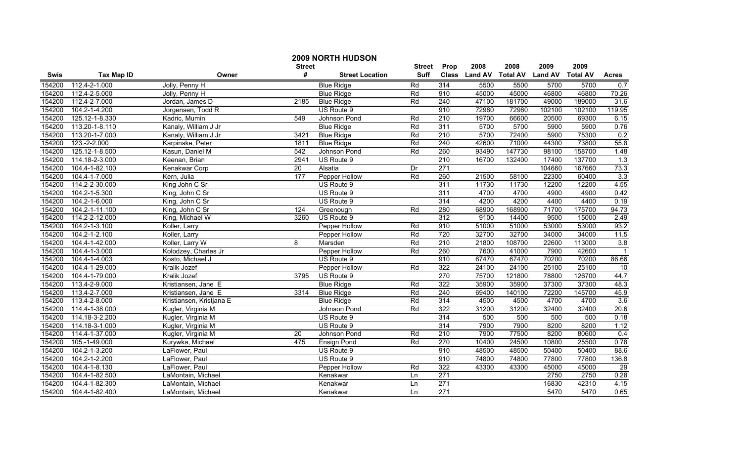|             |                   |                          | <b>Street</b> | <b>2009 NORTH HUDSON</b> | <b>Street</b> | Prop             | 2008          | 2008            | 2009           | 2009            |                |
|-------------|-------------------|--------------------------|---------------|--------------------------|---------------|------------------|---------------|-----------------|----------------|-----------------|----------------|
| <b>Swis</b> | <b>Tax Map ID</b> | Owner                    | #             | <b>Street Location</b>   | <b>Suff</b>   |                  | Class Land AV | <b>Total AV</b> | <b>Land AV</b> | <b>Total AV</b> | <b>Acres</b>   |
| 154200      | 112.4-2-1.000     | Jolly, Penny H           |               | <b>Blue Ridge</b>        | Rd            | 314              | 5500          | 5500            | 5700           | 5700            | 0.7            |
| 154200      | 112.4-2-5.000     | Jolly, Penny H           |               | <b>Blue Ridge</b>        | Rd            | 910              | 45000         | 45000           | 46800          | 46800           | 70.26          |
| 154200      | 112.4-2-7.000     | Jordan, James D          | 2185          | <b>Blue Ridge</b>        | Rd            | 240              | 47100         | 181700          | 49000          | 189000          | 31.6           |
| 154200      | 104.2-1-4.200     | Jorgensen, Todd R        |               | US Route 9               |               | 910              | 72980         | 72980           | 102100         | 102100          | 119.95         |
| 154200      | 125.12-1-8.330    | Kadric, Mumin            | 549           | Johnson Pond             | Rd            | 210              | 19700         | 66600           | 20500          | 69300           | 6.15           |
| 154200      | 113.20-1-8.110    | Kanaly, William J Jr     |               | <b>Blue Ridge</b>        | Rd            | 311              | 5700          | 5700            | 5900           | 5900            | 0.76           |
| 154200      | 113.20-1-7.000    | Kanaly, William J Jr     | 3421          | <b>Blue Ridge</b>        | Rd            | 210              | 5700          | 72400           | 5900           | 75300           | 0.2            |
| 154200      | 123.-2-2.000      | Karpinske, Peter         | 1811          | <b>Blue Ridge</b>        | Rd            | 240              | 42600         | 71000           | 44300          | 73800           | 55.8           |
| 154200      | 125.12-1-8.500    | Kasun, Daniel M          | 542           | Johnson Pond             | Rd            | 260              | 93490         | 147730          | 98100          | 158700          | 1.48           |
| 154200      | 114.18-2-3.000    | Keenan, Brian            | 2941          | US Route 9               |               | $\overline{210}$ | 16700         | 132400          | 17400          | 137700          | 1.3            |
| 154200      | 104.4-1-82.100    | Kenakwar Corp            | 20            | Alsatia                  | Dr            | $\overline{271}$ |               |                 | 104660         | 167660          | 73.3           |
| 154200      | 104.4-1-7.000     | Kern, Julia              | 177           | Pepper Hollow            | Rd            | 260              | 21500         | 58100           | 22300          | 60400           | 3.3            |
| 154200      | 114.2-2-30.000    | King John C Sr           |               | US Route 9               |               | 311              | 11730         | 11730           | 12200          | 12200           | 4.55           |
| 154200      | 104.2-1-5.300     | King, John C Sr          |               | US Route 9               |               | 311              | 4700          | 4700            | 4900           | 4900            | 0.42           |
| 154200      | 104.2-1-6.000     | King, John C Sr          |               | US Route 9               |               | 314              | 4200          | 4200            | 4400           | 4400            | 0.19           |
| 154200      | 104.2-1-11.100    | King, John C Sr          | 124           | Greenough                | Rd            | 280              | 68900         | 168900          | 71700          | 175700          | 94.73          |
| 154200      | 114.2-2-12.000    | King, Michael W          | 3260          | US Route 9               |               | 312              | 9100          | 14400           | 9500           | 15000           | 2.49           |
| 154200      | 104.2-1-3.100     | Koller, Larry            |               | Pepper Hollow            | Rd            | 910              | 51000         | 51000           | 53000          | 53000           | 93.2           |
| 154200      | 104.2-1-2.100     | Koller, Larry            |               | Pepper Hollow            | Rd            | 720              | 32700         | 32700           | 34000          | 34000           | 11.5           |
| 154200      | 104.4-1-42.000    | Koller, Larry W          | 8             | Marsden                  | Rd            | 210              | 21800         | 108700          | 22600          | 113000          | 3.8            |
| 154200      | 104.4-1-3.000     | Kolodzey, Charles Jr     |               | Pepper Hollow            | Rd            | 260              | 7600          | 41000           | 7900           | 42600           | $\overline{1}$ |
| 154200      | 104.4-1-4.003     | Kosto, Michael J         |               | US Route 9               |               | 910              | 67470         | 67470           | 70200          | 70200           | 86.66          |
| 154200      | 104.4-1-29.000    | Kralik Jozef             |               | Pepper Hollow            | Rd            | 322              | 24100         | 24100           | 25100          | 25100           | 10             |
| 154200      | 104.4-1-79.000    | Kralik Jozef             | 3795          | US Route 9               |               | 270              | 75700         | 121800          | 78800          | 126700          | 44.7           |
| 154200      | 113.4-2-9.000     | Kristiansen, Jane E      |               | <b>Blue Ridge</b>        | Rd            | 322              | 35900         | 35900           | 37300          | 37300           | 48.3           |
| 154200      | 113.4-2-7.000     | Kristiansen, Jane E      | 3314          | <b>Blue Ridge</b>        | Rd            | 240              | 69400         | 140100          | 72200          | 145700          | 45.9           |
| 154200      | 113.4-2-8.000     | Kristiansen, Kristjana E |               | <b>Blue Ridge</b>        | Rd            | 314              | 4500          | 4500            | 4700           | 4700            | 3.6            |
| 154200      | 114.4-1-38.000    | Kugler, Virginia M       |               | Johnson Pond             | Rd            | 322              | 31200         | 31200           | 32400          | 32400           | 20.6           |
| 154200      | 114.18-3-2.200    | Kugler, Virginia M       |               | US Route 9               |               | 314              | 500           | 500             | 500            | 500             | 0.18           |
| 154200      | 114.18-3-1.000    | Kugler, Virginia M       |               | US Route 9               |               | 314              | 7900          | 7900            | 8200           | 8200            | 1.12           |
| 154200      | 114.4-1-37.000    | Kugler, Virginia M       | 20            | Johnson Pond             | Rd            | 210              | 7900          | 77500           | 8200           | 80600           | 0.4            |
| 154200      | 105.-1-49.000     | Kurywka, Michael         | 475           | Ensign Pond              | Rd            | 270              | 10400         | 24500           | 10800          | 25500           | 0.78           |
| 154200      | 104.2-1-3.200     | LaFlower, Paul           |               | US Route 9               |               | 910              | 48500         | 48500           | 50400          | 50400           | 88.6           |
| 154200      | 104.2-1-2.200     | LaFlower, Paul           |               | US Route 9               |               | 910              | 74800         | 74800           | 77800          | 77800           | 136.8          |
| 154200      | 104.4-1-8.130     | LaFlower, Paul           |               | Pepper Hollow            | Rd            | 322              | 43300         | 43300           | 45000          | 45000           | 29             |
| 154200      | 104.4-1-82.500    | LaMontain, Michael       |               | Kenakwar                 | Ln            | $\overline{271}$ |               |                 | 2750           | 2750            | 0.28           |
| 154200      | 104.4-1-82.300    | LaMontain, Michael       |               | Kenakwar                 | Ln            | 271              |               |                 | 16830          | 42310           | 4.15           |
| 154200      | 104.4-1-82.400    | LaMontain, Michael       |               | Kenakwar                 | Ln            | $\overline{271}$ |               |                 | 5470           | 5470            | 0.65           |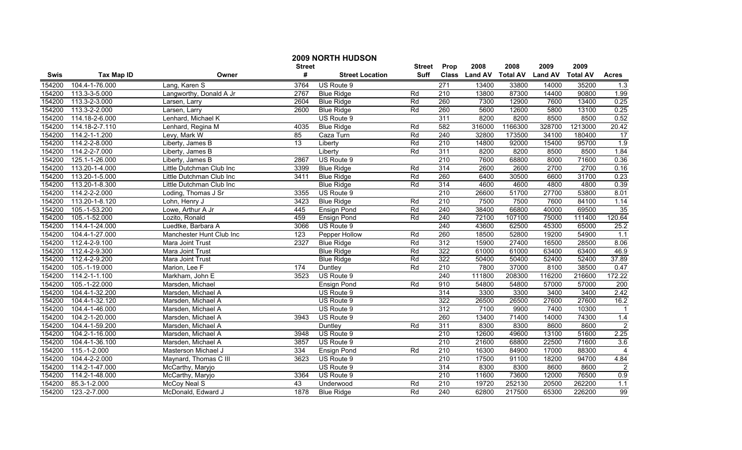|             |                   |                          | <b>Street</b> | <b>2009 NORTH HUDSON</b> | <b>Street</b> | Prop             | 2008          | 2008            | 2009           | 2009            |                         |
|-------------|-------------------|--------------------------|---------------|--------------------------|---------------|------------------|---------------|-----------------|----------------|-----------------|-------------------------|
| <b>Swis</b> | <b>Tax Map ID</b> | Owner                    | #             | <b>Street Location</b>   | <b>Suff</b>   |                  | Class Land AV | <b>Total AV</b> | <b>Land AV</b> | <b>Total AV</b> | <b>Acres</b>            |
| 154200      | 104.4-1-76.000    | Lang, Karen S            | 3764          | US Route 9               |               | $\overline{271}$ | 13400         | 33800           | 14000          | 35200           | 1.3                     |
| 154200      | 113.3-3-5.000     | Langworthy, Donald A Jr  | 2767          | <b>Blue Ridge</b>        | Rd            | $\overline{210}$ | 13800         | 87300           | 14400          | 90800           | 1.99                    |
| 154200      | 113.3-2-3.000     | Larsen, Larry            | 2604          | <b>Blue Ridge</b>        | Rd            | 260              | 7300          | 12900           | 7600           | 13400           | 0.25                    |
| 154200      | 113.3-2-2.000     | Larsen, Larry            | 2600          | <b>Blue Ridge</b>        | Rd            | 260              | 5600          | 12600           | 5800           | 13100           | 0.25                    |
| 154200      | 114.18-2-6.000    | Lenhard, Michael K       |               | US Route 9               |               | 311              | 8200          | 8200            | 8500           | 8500            | 0.52                    |
| 154200      | 114.18-2-7.110    | Lenhard, Regina M        | 4035          | <b>Blue Ridge</b>        | Rd            | 582              | 316000        | 1166300         | 328700         | 1213000         | 20.42                   |
| 154200      | 114.2-1-1.200     | Levy, Mark W             | 85            | Caza Turn                | Rd            | 240              | 32800         | 173500          | 34100          | 180400          | 17                      |
| 154200      | 114.2-2-8.000     | Liberty, James B         | 13            | Liberty                  | Rd            | 210              | 14800         | 92000           | 15400          | 95700           | 1.9                     |
| 154200      | 114.2-2-7.000     | Liberty, James B         |               | Liberty                  | Rd            | 311              | 8200          | 8200            | 8500           | 8500            | 1.84                    |
| 154200      | 125.1-1-26.000    | Liberty, James B         | 2867          | US Route 9               |               | $\overline{210}$ | 7600          | 68800           | 8000           | 71600           | 0.36                    |
| 154200      | 113.20-1-4.000    | Little Dutchman Club Inc | 3399          | <b>Blue Ridge</b>        | Rd            | 314              | 2600          | 2600            | 2700           | 2700            | 0.16                    |
| 154200      | 113.20-1-5.000    | Little Dutchman Club Inc | 3411          | <b>Blue Ridge</b>        | Rd            | 260              | 6400          | 30500           | 6600           | 31700           | 0.23                    |
| 154200      | 113.20-1-8.300    | Little Dutchman Club Inc |               | <b>Blue Ridge</b>        | Rd            | 314              | 4600          | 4600            | 4800           | 4800            | 0.39                    |
| 154200      | 114.2-2-2.000     | Loding, Thomas J Sr      | 3355          | US Route 9               |               | $\overline{210}$ | 26600         | 51700           | 27700          | 53800           | 8.01                    |
| 154200      | 113.20-1-8.120    | Lohn, Henry J            | 3423          | <b>Blue Ridge</b>        | Rd            | $\overline{210}$ | 7500          | 7500            | 7600           | 84100           | 1.14                    |
| 154200      | 105.-1-53.200     | Lowe, Arthur A Jr        | 445           | <b>Ensign Pond</b>       | Rd            | 240              | 38400         | 66800           | 40000          | 69500           | 35                      |
| 154200      | 105.-1-52.000     | Lozito, Ronald           | 459           | <b>Ensign Pond</b>       | Rd            | 240              | 72100         | 107100          | 75000          | 111400          | 120.64                  |
| 154200      | 114.4-1-24.000    | Luedtke, Barbara A       | 3066          | US Route 9               |               | 240              | 43600         | 62500           | 45300          | 65000           | 25.2                    |
| 154200      | 104.4-1-27.000    | Manchester Hunt Club Inc | 123           | Pepper Hollow            | Rd            | 260              | 18500         | 52800           | 19200          | 54900           | 1.1                     |
| 154200      | 112.4-2-9.100     | Mara Joint Trust         | 2327          | <b>Blue Ridge</b>        | Rd            | 312              | 15900         | 27400           | 16500          | 28500           | 8.06                    |
| 154200      | 112.4-2-9.300     | Mara Joint Trust         |               | <b>Blue Ridge</b>        | Rd            | 322              | 61000         | 61000           | 63400          | 63400           | 46.9                    |
| 154200      | 112.4-2-9.200     | Mara Joint Trust         |               | <b>Blue Ridge</b>        | Rd            | 322              | 50400         | 50400           | 52400          | 52400           | 37.89                   |
| 154200      | 105.-1-19.000     | Marion, Lee F            | 174           | Duntley                  | Rd            | $\overline{210}$ | 7800          | 37000           | 8100           | 38500           | 0.47                    |
| 154200      | 114.2-1-1.100     | Markham, John E          | 3523          | US Route 9               |               | 240              | 111800        | 208300          | 116200         | 216600          | 172.22                  |
| 154200      | 105.-1-22.000     | Marsden, Michael         |               | <b>Ensign Pond</b>       | Rd            | 910              | 54800         | 54800           | 57000          | 57000           | 200                     |
| 154200      | 104.4-1-32.200    | Marsden, Michael A       |               | US Route 9               |               | $\overline{314}$ | 3300          | 3300            | 3400           | 3400            | 2.42                    |
| 154200      | 104.4-1-32.120    | Marsden, Michael A       |               | US Route 9               |               | 322              | 26500         | 26500           | 27600          | 27600           | 16.2                    |
| 154200      | 104.4-1-46.000    | Marsden, Michael A       |               | US Route 9               |               | $\overline{312}$ | 7100          | 9900            | 7400           | 10300           | $\overline{\mathbf{1}}$ |
| 154200      | 104.2-1-20.000    | Marsden, Michael A       | 3943          | US Route 9               |               | 260              | 13400         | 71400           | 14000          | 74300           | 1.4                     |
| 154200      | 104.4-1-59.200    | Marsden, Michael A       |               | Duntley                  | Rd            | 311              | 8300          | 8300            | 8600           | 8600            | $\overline{2}$          |
| 154200      | 104.2-1-16.000    | Marsden, Michael A       | 3948          | US Route 9               |               | 210              | 12600         | 49600           | 13100          | 51600           | 2.25                    |
| 154200      | 104.4-1-36.100    | Marsden, Michael A       | 3857          | US Route 9               |               | 210              | 21600         | 68800           | 22500          | 71600           | 3.6                     |
| 154200      | 115.-1-2.000      | Masterson Michael J      | 334           | <b>Ensign Pond</b>       | Rd            | 210              | 16300         | 84900           | 17000          | 88300           | $\overline{4}$          |
| 154200      | 104.4-2-2.000     | Maynard, Thomas C III    | 3623          | US Route 9               |               | 210              | 17500         | 91100           | 18200          | 94700           | 4.84                    |
| 154200      | 114.2-1-47.000    | McCarthy, Maryjo         |               | US Route 9               |               | 314              | 8300          | 8300            | 8600           | 8600            | $\overline{2}$          |
| 154200      | 114.2-1-48.000    | McCarthy, Maryjo         | 3364          | US Route 9               |               | $\overline{210}$ | 11600         | 73600           | 12000          | 76500           | 0.9                     |
| 154200      | 85.3-1-2.000      | McCoy Neal S             | 43            | Underwood                | Rd            | $\overline{210}$ | 19720         | 252130          | 20500          | 262200          | 1.1                     |
| 154200      | 123.-2-7.000      | McDonald, Edward J       | 1878          | <b>Blue Ridge</b>        | Rd            | 240              | 62800         | 217500          | 65300          | 226200          | 99                      |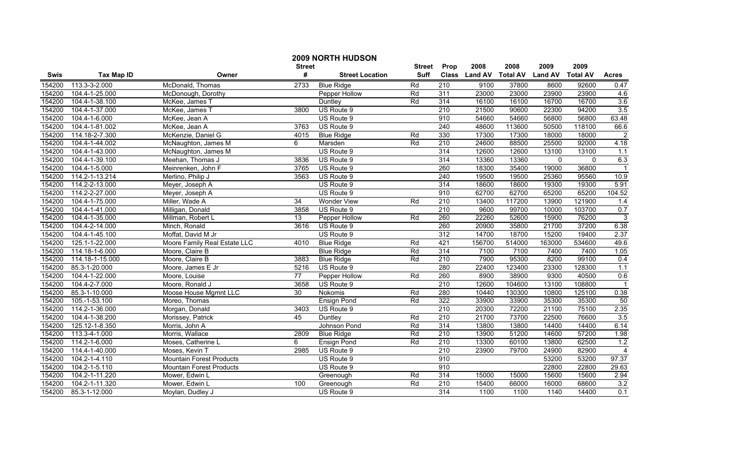|        |                   |                                 | <b>Street</b>   | 2009 NORTH HUDSON      | <b>Street</b> | Prop             | 2008           | 2008            | 2009           | 2009            |                |
|--------|-------------------|---------------------------------|-----------------|------------------------|---------------|------------------|----------------|-----------------|----------------|-----------------|----------------|
| Swis   | <b>Tax Map ID</b> | Owner                           | #               | <b>Street Location</b> | <b>Suff</b>   | <b>Class</b>     | <b>Land AV</b> | <b>Total AV</b> | <b>Land AV</b> | <b>Total AV</b> | <b>Acres</b>   |
| 154200 | 113.3-3-2.000     | McDonald, Thomas                | 2733            | <b>Blue Ridge</b>      | Rd            | $\overline{210}$ | 9100           | 37800           | 8600           | 92600           | 0.47           |
| 154200 | 104.4-1-25.000    | McDonough, Dorothy              |                 | Pepper Hollow          | Rd            | 311              | 23000          | 23000           | 23900          | 23900           | 4.6            |
| 154200 | 104.4-1-38.100    | McKee, James T                  |                 | Duntley                | Rd            | 314              | 16100          | 16100           | 16700          | 16700           | 3.6            |
| 154200 | 104.4-1-37.000    | McKee, James T                  | 3800            | US Route 9             |               | 210              | 21500          | 90600           | 22300          | 94200           | 3.5            |
| 154200 | 104.4-1-6.000     | McKee, Jean A                   |                 | US Route 9             |               | 910              | 54660          | 54660           | 56800          | 56800           | 63.48          |
| 154200 | 104.4-1-81.002    | McKee, Jean A                   | 3763            | US Route 9             |               | 240              | 48600          | 113600          | 50500          | 118100          | 66.6           |
| 154200 | 114.18-2-7.300    | McKenzie, Daniel G              | 4015            | <b>Blue Ridge</b>      | Rd            | 330              | 17300          | 17300           | 18000          | 18000           | $\overline{2}$ |
| 154200 | 104.4-1-44.002    | McNaughton, James M             | 6               | Marsden                | Rd            | 210              | 24600          | 88500           | 25500          | 92000           | 4.18           |
| 154200 | 104.4-1-43.000    | McNaughton, James M             |                 | US Route 9             |               | 314              | 12600          | 12600           | 13100          | 13100           | $1.1$          |
| 154200 | 104.4-1-39.100    | Meehan, Thomas J                | 3836            | US Route 9             |               | 314              | 13360          | 13360           | $\mathbf 0$    | 0               | 6.3            |
| 154200 | 104.4-1-5.000     | Meinrenken, John F              | 3765            | US Route 9             |               | 260              | 18300          | 35400           | 19000          | 36800           |                |
| 154200 | 114.2-1-13.214    | Merlino, Philip J               | 3563            | US Route 9             |               | $\overline{240}$ | 19500          | 19500           | 25360          | 95560           | 10.9           |
| 154200 | 114.2-2-13.000    | Meyer, Joseph A                 |                 | US Route 9             |               | 314              | 18600          | 18600           | 19300          | 19300           | 5.91           |
| 154200 | 114.2-2-27.000    | Meyer, Joseph A                 |                 | US Route 9             |               | 910              | 62700          | 62700           | 65200          | 65200           | 104.52         |
| 154200 | 104.4-1-75.000    | Miller, Wade A                  | 34              | <b>Wonder View</b>     | Rd            | 210              | 13400          | 117200          | 13900          | 121900          | 1.4            |
| 154200 | 104.4-1-41.000    | Milligan, Donald                | 3858            | US Route 9             |               | 210              | 9600           | 99700           | 10000          | 103700          | 0.7            |
| 154200 | 104.4-1-35.000    | Millman, Robert L               | 13              | Pepper Hollow          | Rd            | 260              | 22260          | 52600           | 15900          | 76200           | $\overline{3}$ |
| 154200 | 104.4-2-14.000    | Minch, Ronald                   | 3616            | US Route 9             |               | 260              | 20900          | 35800           | 21700          | 37200           | 6.38           |
| 154200 | 104.4-1-45.100    | Moffat, David M Jr              |                 | US Route 9             |               | 312              | 14700          | 18700           | 15200          | 19400           | 2.37           |
| 154200 | 125.1-1-22.000    | Moore Family Real Estate LLC    | 4010            | <b>Blue Ridge</b>      | Rd            | 421              | 156700         | 514000          | 163000         | 534600          | 49.6           |
| 154200 | 114.18-1-6.000    | Moore, Claire B                 |                 | <b>Blue Ridge</b>      | Rd            | 314              | 7100           | 7100            | 7400           | 7400            | 1.05           |
| 154200 | 114.18-1-15.000   | Moore, Claire B                 | 3883            | <b>Blue Ridge</b>      | Rd            | $\overline{210}$ | 7900           | 95300           | 8200           | 99100           | 0.4            |
| 154200 | 85.3-1-20.000     | Moore, James E Jr               | 5216            | US Route 9             |               | 280              | 22400          | 123400          | 23300          | 128300          | 1.1            |
| 154200 | 104.4-1-22.000    | Moore, Louise                   | $\overline{77}$ | Pepper Hollow          | Rd            | 260              | 8900           | 38900           | 9300           | 40500           | 0.6            |
| 154200 | 104.4-2-7.000     | Moore, Ronald J                 | 3658            | US Route 9             |               | $\overline{210}$ | 12600          | 104600          | 13100          | 108800          |                |
| 154200 | 85.3-1-10.000     | Moose House Mgmnt LLC           | 30              | Nokomis                | Rd            | 280              | 10440          | 130300          | 10800          | 125100          | 0.38           |
| 154200 | 105.-1-53.100     | Moreo, Thomas                   |                 | Ensign Pond            | Rd            | 322              | 33900          | 33900           | 35300          | 35300           | 50             |
| 154200 | 114.2-1-36.000    | Morgan, Donald                  | 3403            | US Route 9             |               | 210              | 20300          | 72200           | 21100          | 75100           | 2.35           |
| 154200 | 104.4-1-38.200    | Morissey, Patrick               | 45              | Duntley                | Rd            | 210              | 21700          | 73700           | 22500          | 76600           | 3.5            |
| 154200 | 125.12-1-8.350    | Morris, John A                  |                 | Johnson Pond           | Rd            | 314              | 13800          | 13800           | 14400          | 14400           | 6.14           |
| 154200 | 113.3-4-1.000     | Morris, Wallace                 | 2809            | <b>Blue Ridge</b>      | Rd            | $\overline{210}$ | 13900          | 51200           | 14600          | 57200           | 1.98           |
| 154200 | 114.2-1-6.000     | Moses, Catherine L              | 6               | <b>Ensign Pond</b>     | Rd            | 210              | 13300          | 60100           | 13800          | 62500           | 1.2            |
| 154200 | 114.4-1-40.000    | Moses, Kevin T                  | 2985            | US Route 9             |               | 210              | 23900          | 79700           | 24900          | 82900           | $\overline{4}$ |
| 154200 | 104.2-1-4.110     | <b>Mountain Forest Products</b> |                 | US Route 9             |               | 910              |                |                 | 53200          | 53200           | 97.37          |
| 154200 | 104.2-1-5.110     | Mountain Forest Products        |                 | US Route 9             |               | 910              |                |                 | 22800          | 22800           | 29.63          |
| 154200 | 104.2-1-11.220    | Mower, Edwin L                  |                 | Greenough              | Rd            | 314              | 15000          | 15000           | 15600          | 15600           | 2.94           |
| 154200 | 104.2-1-11.320    | Mower, Edwin L                  | 100             | Greenough              | Rd            | 210              | 15400          | 66000           | 16000          | 68600           | 3.2            |
| 154200 | 85.3-1-12.000     | Moylan, Dudley J                |                 | US Route 9             |               | 314              | 1100           | 1100            | 1140           | 14400           | 0.1            |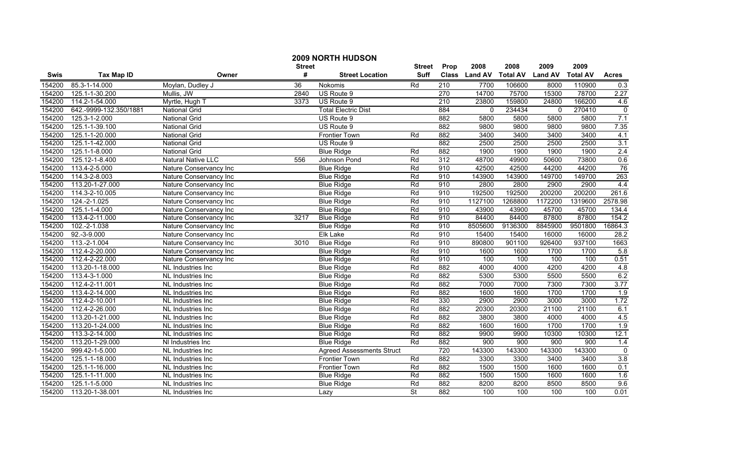|             |                        |                                | <b>Street</b> | 2009 NORTH HUDSON                | <b>Street</b> | Prop             | 2008           | 2008            | 2009           | 2009            |                |
|-------------|------------------------|--------------------------------|---------------|----------------------------------|---------------|------------------|----------------|-----------------|----------------|-----------------|----------------|
| <b>Swis</b> | <b>Tax Map ID</b>      | Owner                          | #             | <b>Street Location</b>           | <b>Suff</b>   | <b>Class</b>     | <b>Land AV</b> | <b>Total AV</b> | <b>Land AV</b> | <b>Total AV</b> | <b>Acres</b>   |
| 154200      | 85.3-1-14.000          | Moylan, Dudley J               | 36            | Nokomis                          | Rd            | 210              | 7700           | 106600          | 8000           | 110900          | 0.3            |
| 154200      | 125.1-1-30.200         | Mullis, JW                     | 2840          | US Route 9                       |               | 270              | 14700          | 75700           | 15300          | 78700           | 2.27           |
| 154200      | 114.2-1-54.000         | Myrtle, Hugh T                 | 3373          | US Route 9                       |               | $\overline{210}$ | 23800          | 159800          | 24800          | 166200          | 4.6            |
| 154200      | 642.-9999-132.350/1881 | <b>National Grid</b>           |               | <b>Total Electric Dist</b>       |               | 884              | 0              | 234434          | $\mathbf{0}$   | 270410          | $\overline{0}$ |
| 154200      | 125.3-1-2.000          | <b>National Grid</b>           |               | US Route 9                       |               | 882              | 5800           | 5800            | 5800           | 5800            | 7.1            |
| 154200      | 125.1-1-39.100         | National Grid                  |               | US Route 9                       |               | 882              | 9800           | 9800            | 9800           | 9800            | 7.35           |
| 154200      | 125.1-1-20.000         | National Grid                  |               | <b>Frontier Town</b>             | Rd            | 882              | 3400           | 3400            | 3400           | 3400            | 4.1            |
| 154200      | 125.1-1-42.000         | <b>National Grid</b>           |               | US Route 9                       |               | 882              | 2500           | 2500            | 2500           | 2500            | 3.1            |
| 154200      | 125.1-1-8.000          | <b>National Grid</b>           |               | <b>Blue Ridge</b>                | Rd            | 882              | 1900           | 1900            | 1900           | 1900            | 2.4            |
| 154200      | 125.12-1-8.400         | Natural Native LLC             | 556           | Johnson Pond                     | Rd            | $\overline{312}$ | 48700          | 49900           | 50600          | 73800           | 0.6            |
| 154200      | 113.4-2-5.000          | Nature Conservancy Inc         |               | <b>Blue Ridge</b>                | Rd            | 910              | 42500          | 42500           | 44200          | 44200           | 76             |
| 154200      | 114.3-2-8.003          | Nature Conservancy Inc         |               | <b>Blue Ridge</b>                | Rd            | 910              | 143900         | 143900          | 149700         | 149700          | 263            |
| 154200      | 113.20-1-27.000        | Nature Conservancy Inc         |               | <b>Blue Ridge</b>                | Rd            | 910              | 2800           | 2800            | 2900           | 2900            | 4.4            |
| 154200      | 114.3-2-10.005         | Nature Conservancy Inc         |               | <b>Blue Ridge</b>                | Rd            | 910              | 192500         | 192500          | 200200         | 200200          | 261.6          |
| 154200      | 124.-2-1.025           | Nature Conservancy Inc         |               | <b>Blue Ridge</b>                | Rd            | 910              | 1127100        | 1268800         | 1172200        | 1319600         | 2578.98        |
| 154200      | 125.1-1-4.000          | Nature Conservancy Inc         |               | <b>Blue Ridge</b>                | Rd            | 910              | 43900          | 43900           | 45700          | 45700           | 134.4          |
| 154200      | 113.4-2-11.000         | Nature Conservancy Inc         | 3217          | <b>Blue Ridge</b>                | Rd            | 910              | 84400          | 84400           | 87800          | 87800           | 154.2          |
| 154200      | 102.-2-1.038           | Nature Conservancy Inc         |               | <b>Blue Ridge</b>                | Rd            | 910              | 8505600        | 9136300         | 8845900        | 9501800         | 16864.3        |
| 154200      | $92.-3-9.000$          | Nature Conservancy Inc         |               | <b>Elk Lake</b>                  | Rd            | 910              | 15400          | 15400           | 16000          | 16000           | 28.2           |
| 154200      | 113.-2-1.004           | Nature Conservancy Inc         | 3010          | <b>Blue Ridge</b>                | Rd            | 910              | 890800         | 901100          | 926400         | 937100          | 1663           |
| 154200      | 112.4-2-20.000         | Nature Conservancy Inc         |               | <b>Blue Ridge</b>                | Rd            | 910              | 1600           | 1600            | 1700           | 1700            | 5.8            |
| 154200      | 112.4-2-22.000         | Nature Conservancy Inc         |               | <b>Blue Ridge</b>                | Rd            | 910              | 100            | 100             | 100            | 100             | 0.51           |
| 154200      | 113.20-1-18.000        | NL Industries Inc              |               | <b>Blue Ridge</b>                | Rd            | 882              | 4000           | 4000            | 4200           | 4200            | 4.8            |
| 154200      | 113.4-3-1.000          | NL Industries Inc              |               | <b>Blue Ridge</b>                | Rd            | 882              | 5300           | 5300            | 5500           | 5500            | 6.2            |
| 154200      | 112.4-2-11.001         | NL Industries Inc              |               | <b>Blue Ridge</b>                | Rd            | 882              | 7000           | 7000            | 7300           | 7300            | 3.77           |
| 154200      | 113.4-2-14.000         | $\overline{NL}$ Industries Inc |               | <b>Blue Ridge</b>                | Rd            | 882              | 1600           | 1600            | 1700           | 1700            | 1.9            |
| 154200      | 112.4-2-10.001         | NL Industries Inc              |               | <b>Blue Ridge</b>                | Rd            | 330              | 2900           | 2900            | 3000           | 3000            | 1.72           |
| 154200      | 112.4-2-26.000         | NL Industries Inc              |               | <b>Blue Ridge</b>                | Rd            | 882              | 20300          | 20300           | 21100          | 21100           | 6.1            |
| 154200      | 113.20-1-21.000        | NL Industries Inc              |               | <b>Blue Ridge</b>                | Rd            | 882              | 3800           | 3800            | 4000           | 4000            | 4.5            |
| 154200      | 113.20-1-24.000        | NL Industries Inc              |               | <b>Blue Ridge</b>                | Rd            | 882              | 1600           | 1600            | 1700           | 1700            | 1.9            |
| 154200      | 113.3-2-14.000         | NL Industries Inc              |               | <b>Blue Ridge</b>                | Rd            | 882              | 9900           | 9900            | 10300          | 10300           | 12.1           |
| 154200      | 113.20-1-29.000        | NI Industries Inc              |               | <b>Blue Ridge</b>                | Rd            | 882              | 900            | 900             | 900            | 900             | 1.4            |
| 154200      | 999.42-1-5.000         | NL Industries Inc.             |               | <b>Agreed Assessments Struct</b> |               | 720              | 143300         | 143300          | 143300         | 143300          | $\overline{0}$ |
| 154200      | 125.1-1-18.000         | NL Industries Inc              |               | <b>Frontier Town</b>             | Rd            | 882              | 3300           | 3300            | 3400           | 3400            | 3.8            |
| 154200      | 125.1-1-16.000         | NL Industries Inc              |               | <b>Frontier Town</b>             | Rd            | 882              | 1500           | 1500            | 1600           | 1600            | 0.1            |
| 154200      | 125.1-1-11.000         | NL Industries Inc              |               | <b>Blue Ridge</b>                | Rd            | 882              | 1500           | 1500            | 1600           | 1600            | 1.6            |
| 154200      | 125.1-1-5.000          | NL Industries Inc              |               | <b>Blue Ridge</b>                | Rd            | 882              | 8200           | 8200            | 8500           | 8500            | 9.6            |
| 154200      | 113.20-1-38.001        | NL Industries Inc              |               | Lazy                             | <b>St</b>     | 882              | 100            | 100             | 100            | 100             | 0.01           |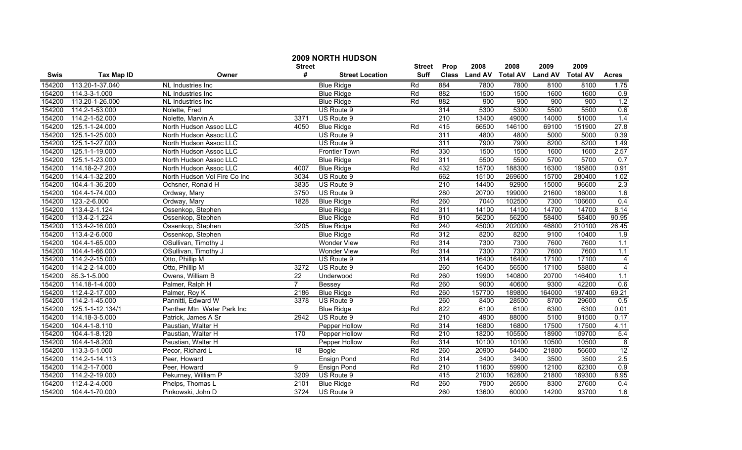|             |                   |                              | <b>Street</b>   | <b>2009 NORTH HUDSON</b> | <b>Street</b> | Prop             | 2008                   | 2008   | 2009           | 2009            |                         |
|-------------|-------------------|------------------------------|-----------------|--------------------------|---------------|------------------|------------------------|--------|----------------|-----------------|-------------------------|
| <b>Swis</b> | <b>Tax Map ID</b> | Owner                        | #               | <b>Street Location</b>   | <b>Suff</b>   |                  | Class Land AV Total AV |        | <b>Land AV</b> | <b>Total AV</b> | <b>Acres</b>            |
| 154200      | 113.20-1-37.040   | NL Industries Inc            |                 | <b>Blue Ridge</b>        | Rd            | 884              | 7800                   | 7800   | 8100           | 8100            | 1.75                    |
| 154200      | 114.3-3-1.000     | NL Industries Inc            |                 | <b>Blue Ridge</b>        | Rd            | 882              | 1500                   | 1500   | 1600           | 1600            | 0.9                     |
| 154200      | 113.20-1-26.000   | NL Industries Inc            |                 | <b>Blue Ridge</b>        | Rd            | 882              | 900                    | 900    | 900            | 900             | 1.2                     |
| 154200      | 114.2-1-53.000    | Nolette, Fred                |                 | US Route 9               |               | 314              | 5300                   | 5300   | 5500           | 5500            | 0.6                     |
| 154200      | 114.2-1-52.000    | Nolette, Marvin A            | 3371            | US Route 9               |               | 210              | 13400                  | 49000  | 14000          | 51000           | 1.4                     |
| 154200      | 125.1-1-24.000    | North Hudson Assoc LLC       | 4050            | <b>Blue Ridge</b>        | Rd            | 415              | 66500                  | 146100 | 69100          | 151900          | 27.8                    |
| 154200      | 125.1-1-25.000    | North Hudson Assoc LLC       |                 | US Route 9               |               | 311              | 4800                   | 4800   | 5000           | 5000            | 0.39                    |
| 154200      | 125.1-1-27.000    | North Hudson Assoc LLC       |                 | US Route 9               |               | 311              | 7900                   | 7900   | 8200           | 8200            | 1.49                    |
| 154200      | 125.1-1-19.000    | North Hudson Assoc LLC       |                 | <b>Frontier Town</b>     | Rd            | 330              | 1500                   | 1500   | 1600           | 1600            | 2.57                    |
| 154200      | 125.1-1-23.000    | North Hudson Assoc LLC       |                 | <b>Blue Ridge</b>        | Rd            | 311              | 5500                   | 5500   | 5700           | 5700            | 0.7                     |
| 154200      | 114.18-2-7.200    | North Hudson Assoc LLC       | 4007            | <b>Blue Ridge</b>        | Rd            | 432              | 15700                  | 188300 | 16300          | 195800          | 0.91                    |
| 154200      | 114.4-1-32.200    | North Hudson Vol Fire Co Inc | 3034            | US Route 9               |               | 662              | 15100                  | 269600 | 15700          | 280400          | 1.02                    |
| 154200      | 104.4-1-36.200    | Ochsner, Ronald H            | 3835            | US Route 9               |               | $\overline{210}$ | 14400                  | 92900  | 15000          | 96600           | $\overline{2.3}$        |
| 154200      | 104.4-1-74.000    | Ordway, Mary                 | 3750            | US Route 9               |               | 280              | 20700                  | 199000 | 21600          | 186000          | 1.6                     |
| 154200      | 123.-2-6.000      | Ordway, Mary                 | 1828            | <b>Blue Ridge</b>        | Rd            | 260              | 7040                   | 102500 | 7300           | 106600          | 0.4                     |
| 154200      | 113.4-2-1.124     | Ossenkop, Stephen            |                 | <b>Blue Ridge</b>        | Rd            | 311              | 14100                  | 14100  | 14700          | 14700           | 8.14                    |
| 154200      | 113.4-2-1.224     | Ossenkop, Stephen            |                 | <b>Blue Ridge</b>        | Rd            | 910              | 56200                  | 56200  | 58400          | 58400           | 90.95                   |
| 154200      | 113.4-2-16.000    | Ossenkop, Stephen            | 3205            | <b>Blue Ridge</b>        | Rd            | 240              | 45000                  | 202000 | 46800          | 210100          | 26.45                   |
| 154200      | 113.4-2-6.000     | Ossenkop, Stephen            |                 | <b>Blue Ridge</b>        | Rd            | 312              | 8200                   | 8200   | 9100           | 10400           | $\overline{1.9}$        |
| 154200      | 104.4-1-65.000    | OSullivan, Timothy J         |                 | <b>Wonder View</b>       | Rd            | 314              | 7300                   | 7300   | 7600           | 7600            | 1.1                     |
| 154200      | 104.4-1-66.000    | OSullivan, Timothy J         |                 | <b>Wonder View</b>       | Rd            | 314              | 7300                   | 7300   | 7600           | 7600            | 1.1                     |
| 154200      | 114.2-2-15.000    | Otto, Phillip M              |                 | US Route 9               |               | 314              | 16400                  | 16400  | 17100          | 17100           | $\overline{4}$          |
| 154200      | 114.2-2-14.000    | Otto, Phillip M              | 3272            | US Route 9               |               | 260              | 16400                  | 56500  | 17100          | 58800           | $\overline{\mathbf{4}}$ |
| 154200      | 85.3-1-5.000      | Owens, William B             | $\overline{22}$ | Underwood                | Rd            | 260              | 19900                  | 140800 | 20700          | 146400          | 1.1                     |
| 154200      | 114.18-1-4.000    | Palmer, Ralph H              | $\overline{7}$  | Bessey                   | Rd            | 260              | 9000                   | 40600  | 9300           | 42200           | 0.6                     |
| 154200      | 112.4-2-17.000    | Palmer, Roy K                | 2186            | <b>Blue Ridge</b>        | Rd            | 260              | 157700                 | 189800 | 164000         | 197400          | 69.21                   |
| 154200      | 114.2-1-45.000    | Pannitti, Edward W           | 3378            | US Route 9               |               | 260              | 8400                   | 28500  | 8700           | 29600           | 0.5                     |
| 154200      | 125.1-1-12.134/1  | Panther Mtn Water Park Inc   |                 | <b>Blue Ridge</b>        | Rd            | 822              | 6100                   | 6100   | 6300           | 6300            | 0.01                    |
| 154200      | 114.18-3-5.000    | Patrick, James A Sr          | 2942            | US Route 9               |               | 210              | 4900                   | 88000  | 5100           | 91500           | 0.17                    |
| 154200      | 104.4-1-8.110     | Paustian, Walter H           |                 | Pepper Hollow            | Rd            | 314              | 16800                  | 16800  | 17500          | 17500           | 4.11                    |
| 154200      | 104.4-1-8.120     | Paustian, Walter H           | 170             | Pepper Hollow            | Rd            | 210              | 18200                  | 105500 | 18900          | 109700          | 5.4                     |
| 154200      | 104.4-1-8.200     | Paustian, Walter H           |                 | Pepper Hollow            | Rd            | 314              | 10100                  | 10100  | 10500          | 10500           | 8                       |
| 154200      | 113.3-5-1.000     | Pecor, Richard L             | $\overline{18}$ | <b>Bogle</b>             | Rd            | 260              | 20900                  | 54400  | 21800          | 56600           | 12                      |
| 154200      | 114.2-1-14.113    | Peer, Howard                 |                 | <b>Ensign Pond</b>       | Rd            | 314              | 3400                   | 3400   | 3500           | 3500            | 2.5                     |
| 154200      | 114.2-1-7.000     | Peer, Howard                 | 9               | <b>Ensign Pond</b>       | Rd            | $\overline{210}$ | 11600                  | 59900  | 12100          | 62300           | 0.9                     |
| 154200      | 114.2-2-19.000    | Pekurney, William P          | 3209            | US Route 9               |               | 415              | 21000                  | 162800 | 21800          | 169300          | 8.95                    |
| 154200      | 112.4-2-4.000     | Phelps, Thomas L             | 2101            | <b>Blue Ridge</b>        | Rd            | 260              | 7900                   | 26500  | 8300           | 27600           | 0.4                     |
| 154200      | 104.4-1-70.000    | Pinkowski, John D            | 3724            | US Route 9               |               | 260              | 13600                  | 60000  | 14200          | 93700           | 1.6                     |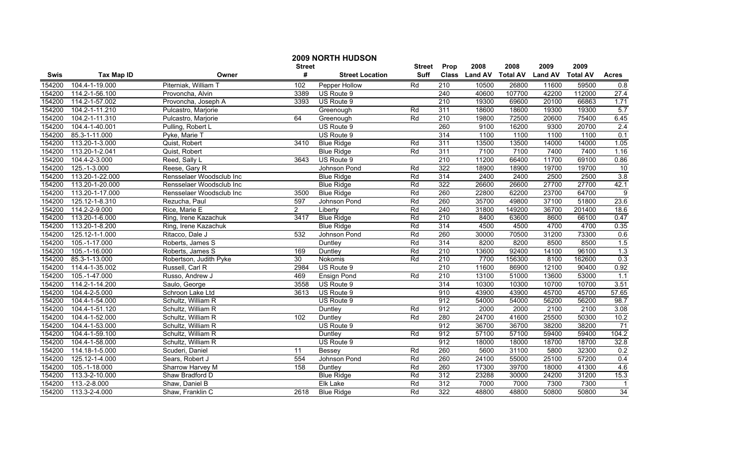|             |                      |                          | <b>Street</b>  | 2009 NORTH HUDSON      | <b>Street</b> | Prop             | 2008           | 2008            | 2009           | 2009            |                 |
|-------------|----------------------|--------------------------|----------------|------------------------|---------------|------------------|----------------|-----------------|----------------|-----------------|-----------------|
| <b>Swis</b> | <b>Tax Map ID</b>    | Owner                    | #              | <b>Street Location</b> | <b>Suff</b>   | <b>Class</b>     | <b>Land AV</b> | <b>Total AV</b> | <b>Land AV</b> | <b>Total AV</b> | <b>Acres</b>    |
| 154200      | 104.4-1-19.000       | Piterniak, William T     | 102            | Pepper Hollow          | Rd            | 210              | 10500          | 26800           | 11600          | 59500           | 0.8             |
| 154200      | 114.2-1-56.100       | Provoncha, Alvin         | 3389           | US Route 9             |               | $\overline{240}$ | 40600          | 107700          | 42200          | 112000          | 27.4            |
| 154200      | 114.2-1-57.002       | Provoncha, Joseph A      | 3393           | US Route 9             |               | $\overline{210}$ | 19300          | 69600           | 20100          | 66863           | 1.71            |
| 154200      | 104.2-1-11.210       | Pulcastro, Marjorie      |                | Greenough              | Rd            | 311              | 18600          | 18600           | 19300          | 19300           | 5.7             |
| 154200      | 104.2-1-11.310       | Pulcastro, Marjorie      | 64             | Greenough              | Rd            | 210              | 19800          | 72500           | 20600          | 75400           | 6.45            |
| 154200      | 104.4-1-40.001       | Pulling, Robert L        |                | US Route 9             |               | 260              | 9100           | 16200           | 9300           | 20700           | 2.4             |
| 154200      | 85.3-1-11.000        | Pyke, Marie T            |                | US Route 9             |               | 314              | 1100           | 1100            | 1100           | 1100            | 0.1             |
| 154200      | 113.20-1-3.000       | Quist, Robert            | 3410           | <b>Blue Ridge</b>      | Rd            | 311              | 13500          | 13500           | 14000          | 14000           | 1.05            |
| 154200      | 113.20-1-2.041       | Quist, Robert            |                | <b>Blue Ridge</b>      | Rd            | 311              | 7100           | 7100            | 7400           | 7400            | 1.16            |
| 154200      | 104.4-2-3.000        | Reed, Sally L            | 3643           | US Route 9             |               | $\overline{210}$ | 11200          | 66400           | 11700          | 69100           | 0.86            |
| 154200      | 125.-1-3.000         | Reese, Gary R            |                | Johnson Pond           | Rd            | 322              | 18900          | 18900           | 19700          | 19700           | 10              |
| 154200      | 113.20-1-22.000      | Rensselaer Woodsclub Inc |                | <b>Blue Ridge</b>      | Rd            | 314              | 2400           | 2400            | 2500           | 2500            | 3.8             |
| 154200      | 113.20-1-20.000      | Rensselaer Woodsclub Inc |                | <b>Blue Ridge</b>      | Rd            | 322              | 26600          | 26600           | 27700          | 27700           | 42.1            |
| 154200      | 113.20-1-17.000      | Rensselaer Woodsclub Inc | 3500           | <b>Blue Ridge</b>      | Rd            | 260              | 22800          | 62200           | 23700          | 64700           | $\overline{9}$  |
| 154200      | $125.12 - 1 - 8.310$ | Rezucha, Paul            | 597            | Johnson Pond           | Rd            | 260              | 35700          | 49800           | 37100          | 51800           | 23.6            |
| 154200      | 114.2-2-9.000        | Rice, Marie E            | $\overline{2}$ | Liberty                | Rd            | 240              | 31800          | 149200          | 36700          | 201400          | 18.6            |
| 154200      | 113.20-1-6.000       | Ring, Irene Kazachuk     | 3417           | <b>Blue Ridge</b>      | Rd            | 210              | 8400           | 63600           | 8600           | 66100           | 0.47            |
| 154200      | 113.20-1-8.200       | Ring, Irene Kazachuk     |                | <b>Blue Ridge</b>      | Rd            | 314              | 4500           | 4500            | 4700           | 4700            | 0.35            |
| 154200      | 125.12-1-1.000       | Ritacco, Dale J          | 532            | Johnson Pond           | Rd            | 260              | 30000          | 70500           | 31200          | 73300           | 0.6             |
| 154200      | 105.-1-17.000        | Roberts, James S         |                | Duntley                | Rd            | 314              | 8200           | 8200            | 8500           | 8500            | 1.5             |
| 154200      | 105.-1-16.000        | Roberts, James S         | 169            | Duntley                | Rd            | $\overline{210}$ | 13600          | 92400           | 14100          | 96100           | 1.3             |
| 154200      | 85.3-1-13.000        | Robertson, Judith Pyke   | 30             | Nokomis                | Rd            | $\overline{210}$ | 7700           | 156300          | 8100           | 162600          | 0.3             |
| 154200      | 114.4-1-35.002       | Russell, Carl R          | 2984           | US Route 9             |               | $\overline{210}$ | 11600          | 86900           | 12100          | 90400           | 0.92            |
| 154200      | 105.-1-47.000        | Russo, Andrew J          | 469            | Ensign Pond            | Rd            | $\overline{210}$ | 13100          | 51000           | 13600          | 53000           | 1.1             |
| 154200      | 114.2-1-14.200       | Saulo, George            | 3558           | US Route 9             |               | 314              | 10300          | 10300           | 10700          | 10700           | 3.51            |
| 154200      | 104.4-2-5.000        | Schroon Lake Ltd         | 3613           | US Route 9             |               | 910              | 43900          | 43900           | 45700          | 45700           | 57.65           |
| 154200      | 104.4-1-54.000       | Schultz, William R       |                | US Route 9             |               | 912              | 54000          | 54000           | 56200          | 56200           | 98.7            |
| 154200      | 104.4-1-51.120       | Schultz, William R       |                | Duntley                | Rd            | 912              | 2000           | 2000            | 2100           | 2100            | 3.08            |
| 154200      | 104.4-1-52.000       | Schultz, William R       | 102            | Duntley                | Rd            | 280              | 24700          | 41600           | 25500          | 50300           | 10.2            |
| 154200      | 104.4-1-53.000       | Schultz, William R       |                | US Route 9             |               | 912              | 36700          | 36700           | 38200          | 38200           | 71              |
| 154200      | 104.4-1-59.100       | Schultz, William R       |                | Duntley                | Rd            | 912              | 57100          | 57100           | 59400          | 59400           | 104.2           |
| 154200      | 104.4-1-58.000       | Schultz, William R       |                | US Route 9             |               | 912              | 18000          | 18000           | 18700          | 18700           | 32.8            |
| 154200      | 114.18-1-5.000       | Scuderi, Daniel          | 11             | <b>Bessey</b>          | Rd            | 260              | 5600           | 31100           | 5800           | 32300           | 0.2             |
| 154200      | 125.12-1-4.000       | Sears, Robert J          | 554            | Johnson Pond           | Rd            | 260              | 24100          | 55000           | 25100          | 57200           | 0.4             |
| 154200      | 105.-1-18.000        | Sharrow Harvey M         | 158            | Duntley                | Rd            | 260              | 17300          | 39700           | 18000          | 41300           | 4.6             |
| 154200      | 113.3-2-10.000       | Shaw Bradford D          |                | <b>Blue Ridge</b>      | Rd            | 312              | 23288          | 30000           | 24200          | 31200           | 15.3            |
| 154200      | 113.-2-8.000         | Shaw, Daniel B           |                | Elk Lake               | Rd            | $\overline{312}$ | 7000           | 7000            | 7300           | 7300            | $\mathbf 1$     |
| 154200      | 113.3-2-4.000        | Shaw, Franklin C         | 2618           | <b>Blue Ridge</b>      | Rd            | 322              | 48800          | 48800           | 50800          | 50800           | $\overline{34}$ |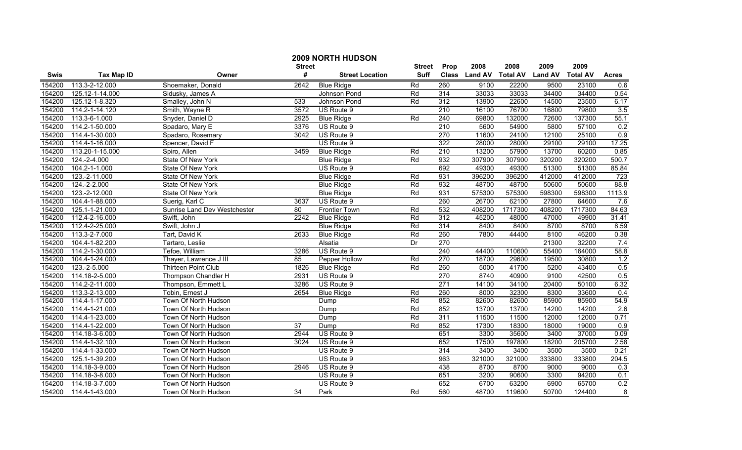|        |                 |                              | <b>Street</b> | <b>2009 NORTH HUDSON</b> | Street | Prop             | 2008           | 2008            | 2009           | 2009            |              |
|--------|-----------------|------------------------------|---------------|--------------------------|--------|------------------|----------------|-----------------|----------------|-----------------|--------------|
| Swis   | Tax Map ID      | Owner                        | #             | <b>Street Location</b>   | Suff   | <b>Class</b>     | <b>Land AV</b> | <b>Total AV</b> | <b>Land AV</b> | <b>Total AV</b> | <b>Acres</b> |
| 154200 | 113.3-2-12.000  | Shoemaker, Donald            | 2642          | <b>Blue Ridge</b>        | Rd     | 260              | 9100           | 22200           | 9500           | 23100           | 0.6          |
| 154200 | 125.12-1-14.000 | Sidusky, James A             |               | Johnson Pond             | Rd     | $\overline{314}$ | 33033          | 33033           | 34400          | 34400           | 0.54         |
| 154200 | 125.12-1-8.320  | Smalley, John N              | 533           | Johnson Pond             | Rd     | 312              | 13900          | 22600           | 14500          | 23500           | 6.17         |
| 154200 | 114.2-1-14.120  | Smith, Wayne R               | 3572          | US Route 9               |        | 210              | 16100          | 76700           | 16800          | 79800           | 3.5          |
| 154200 | 113.3-6-1.000   | Snyder, Daniel D             | 2925          | <b>Blue Ridge</b>        | Rd     | 240              | 69800          | 132000          | 72600          | 137300          | 55.1         |
| 154200 | 114.2-1-50.000  | Spadaro, Mary E              | 3376          | US Route 9               |        | 210              | 5600           | 54900           | 5800           | 57100           | 0.2          |
| 154200 | 114.4-1-30.000  | Spadaro, Rosemary            | 3042          | US Route 9               |        | 270              | 11600          | 24100           | 12100          | 25100           | 0.9          |
| 154200 | 114.4-1-16.000  | Spencer, David F             |               | US Route 9               |        | 322              | 28000          | 28000           | 29100          | 29100           | 17.25        |
| 154200 | 113.20-1-15.000 | Spiro, Allen                 | 3459          | <b>Blue Ridge</b>        | Rd     | $\overline{210}$ | 13200          | 57900           | 13700          | 60200           | 0.85         |
| 154200 | 124.-2-4.000    | State Of New York            |               | <b>Blue Ridge</b>        | Rd     | 932              | 307900         | 307900          | 320200         | 320200          | 500.7        |
| 154200 | 104.2-1-1.000   | State Of New York            |               | US Route 9               |        | 692              | 49300          | 49300           | 51300          | 51300           | 85.84        |
| 154200 | 123.-2-11.000   | State Of New York            |               | <b>Blue Ridge</b>        | Rd     | 931              | 396200         | 396200          | 412000         | 412000          | 723          |
| 154200 | 124.-2-2.000    | State Of New York            |               | <b>Blue Ridge</b>        | Rd     | 932              | 48700          | 48700           | 50600          | 50600           | 88.8         |
| 154200 | 123.-2-12.000   | State Of New York            |               | <b>Blue Ridge</b>        | Rd     | 931              | 575300         | 575300          | 598300         | 598300          | 1113.9       |
| 154200 | 104.4-1-88.000  | Suerig, Karl C               | 3637          | US Route 9               |        | 260              | 26700          | 62100           | 27800          | 64600           | 7.6          |
| 154200 | 125.1-1-21.000  | Sunrise Land Dev Westchester | 80            | <b>Frontier Town</b>     | Rd     | 532              | 408200         | 1717300         | 408200         | 1717300         | 84.63        |
| 154200 | 112.4-2-16.000  | Swift, John                  | 2242          | <b>Blue Ridge</b>        | Rd     | 312              | 45200          | 48000           | 47000          | 49900           | 31.41        |
| 154200 | 112.4-2-25.000  | Swift, John J                |               | <b>Blue Ridge</b>        | Rd     | 314              | 8400           | 8400            | 8700           | 8700            | 8.59         |
| 154200 | 113.3-2-7.000   | Tart, David K                | 2633          | <b>Blue Ridge</b>        | Rd     | 260              | 7800           | 44400           | 8100           | 46200           | 0.38         |
| 154200 | 104.4-1-82.200  | Tartaro, Leslie              |               | Alsatia                  | Dr     | 270              |                |                 | 21300          | 32200           | 7.4          |
| 154200 | 114.2-1-30.000  | Tefoe, William               | 3286          | US Route 9               |        | 240              | 44400          | 110600          | 55400          | 164000          | 58.8         |
| 154200 | 104.4-1-24.000  | Thayer, Lawrence J III       | 85            | Pepper Hollow            | Rd     | 270              | 18700          | 29600           | 19500          | 30800           | 1.2          |
| 154200 | 123.-2-5.000    | Thirteen Point Club          | 1826          | <b>Blue Ridge</b>        | Rd     | 260              | 5000           | 41700           | 5200           | 43400           | 0.5          |
| 154200 | 114.18-2-5.000  | Thompson Chandler H          | 2931          | US Route 9               |        | 270              | 8740           | 40900           | 9100           | 42500           | 0.5          |
| 154200 | 114.2-2-11.000  | Thompson, Emmett L           | 3286          | US Route 9               |        | 271              | 14100          | 34100           | 20400          | 50100           | 6.32         |
| 154200 | 113.3-2-13.000  | Tobin, Ernest J              | 2654          | <b>Blue Ridge</b>        | Rd     | 260              | 8000           | 32300           | 8300           | 33600           | 0.4          |
| 154200 | 114.4-1-17.000  | Town Of North Hudson         |               | Dump                     | Rd     | 852              | 82600          | 82600           | 85900          | 85900           | 54.9         |
| 154200 | 114.4-1-21.000  | Town Of North Hudson         |               | Dump                     | Rd     | 852              | 13700          | 13700           | 14200          | 14200           | 2.6          |
| 154200 | 114.4-1-23.000  | Town Of North Hudson         |               | Dump                     | Rd     | 311              | 11500          | 11500           | 12000          | 12000           | 0.71         |
| 154200 | 114.4-1-22.000  | Town Of North Hudson         | 37            | Dump                     | Rd     | 852              | 17300          | 18300           | 18000          | 19000           | 0.9          |
| 154200 | 114.18-3-6.000  | Town Of North Hudson         | 2944          | US Route 9               |        | 651              | 3300           | 35600           | 3400           | 37000           | 0.09         |
| 154200 | 114.4-1-32.100  | Town Of North Hudson         | 3024          | US Route 9               |        | 652              | 17500          | 197800          | 18200          | 205700          | 2.58         |
| 154200 | 114.4-1-33.000  | Town Of North Hudson         |               | US Route 9               |        | 314              | 3400           | 3400            | 3500           | 3500            | 0.21         |
| 154200 | 125.1-1-39.200  | Town Of North Hudson         |               | US Route 9               |        | $\overline{963}$ | 321000         | 321000          | 333800         | 333800          | 204.5        |
| 154200 | 114.18-3-9.000  | Town Of North Hudson         | 2946          | US Route 9               |        | 438              | 8700           | 8700            | 9000           | 9000            | 0.3          |
| 154200 | 114.18-3-8.000  | Town Of North Hudson         |               | US Route 9               |        | 651              | 3200           | 90600           | 3300           | 94200           | 0.1          |
| 154200 | 114.18-3-7.000  | Town Of North Hudson         |               | US Route 9               |        | 652              | 6700           | 63200           | 6900           | 65700           | 0.2          |
| 154200 | 114.4-1-43.000  | Town Of North Hudson         | 34            | Park                     | Rd     | 560              | 48700          | 119600          | 50700          | 124400          | 8            |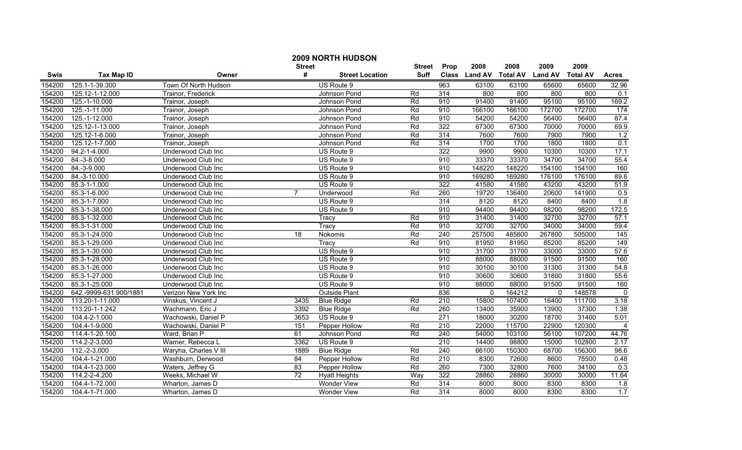|        |                        |                           | <b>Street</b>  | <b>2009 NORTH HUDSON</b> | <b>Street</b> | Prop             | 2008           | 2008            | 2009           | 2009            |                |
|--------|------------------------|---------------------------|----------------|--------------------------|---------------|------------------|----------------|-----------------|----------------|-----------------|----------------|
| Swis   | <b>Tax Map ID</b>      | Owner                     | #              | <b>Street Location</b>   | <b>Suff</b>   | <b>Class</b>     | <b>Land AV</b> | <b>Total AV</b> | <b>Land AV</b> | <b>Total AV</b> | <b>Acres</b>   |
| 154200 | 125.1-1-39.300         | Town Of North Hudson      |                | US Route 9               |               | 963              | 63100          | 63100           | 65600          | 65600           | 32.96          |
| 154200 | 125.12-1-12.000        | Trainor, Frederick        |                | Johnson Pond             | Rd            | 314              | 800            | 800             | 800            | 800             | 0.1            |
| 154200 | 125.-1-10.000          | Trainor, Joseph           |                | Johnson Pond             | Rd            | 910              | 91400          | 91400           | 95100          | 95100           | 169.2          |
| 154200 | 125.-1-11.000          | Trainor, Joseph           |                | Johnson Pond             | Rd            | 910              | 166100         | 166100          | 172700         | 172700          | 174            |
| 154200 | 125.-1-12.000          | Trainor, Joseph           |                | Johnson Pond             | Rd            | 910              | 54200          | 54200           | 56400          | 56400           | 87.4           |
| 154200 | 125.12-1-13.000        | Trainor, Joseph           |                | Johnson Pond             | Rd            | 322              | 67300          | 67300           | 70000          | 70000           | 69.9           |
| 154200 | 125.12-1-6.000         | Trainor, Joseph           |                | Johnson Pond             | Rd            | 314              | 7600           | 7600            | 7900           | 7900            | 1.2            |
| 154200 | 125.12-1-7.000         | Trainor, Joseph           |                | Johnson Pond             | Rd            | 314              | 1700           | 1700            | 1800           | 1800            | 0.1            |
| 154200 | 94.2-1-4.000           | Underwood Club Inc        |                | US Route 9               |               | 322              | 9900           | 9900            | 10300          | 10300           | 17.1           |
| 154200 | 84.-3-8.000            | Underwood Club Inc        |                | US Route 9               |               | 910              | 33370          | 33370           | 34700          | 34700           | 55.4           |
| 154200 | 84.-3-9.000            | Underwood Club Inc        |                | US Route 9               |               | 910              | 148220         | 148220          | 154100         | 154100          | 160            |
| 154200 | 84.-3-10.000           | Underwood Club Inc        |                | US Route 9               |               | 910              | 169280         | 169280          | 176100         | 176100          | 89.6           |
| 154200 | 85.3-1-1.000           | Underwood Club Inc        |                | US Route 9               |               | 322              | 41580          | 41580           | 43200          | 43200           | 51.9           |
| 154200 | 85.3-1-6.000           | Underwood Club Inc        | $\overline{7}$ | Underwood                | Rd            | 260              | 19720          | 136400          | 20600          | 141900          | 0.5            |
| 154200 | 85.3-1-7.000           | Underwood Club Inc        |                | US Route 9               |               | 314              | 8120           | 8120            | 8400           | 8400            | 1.8            |
| 154200 | 85.3-1-38.000          | Underwood Club Inc        |                | US Route 9               |               | 910              | 94400          | 94400           | 98200          | 98200           | 172.5          |
| 154200 | 85.3-1-32.000          | Underwood Club Inc        |                | Tracy                    | Rd            | 910              | 31400          | 31400           | 32700          | 32700           | 57.1           |
| 154200 | 85.3-1-31.000          | <b>Underwood Club Inc</b> |                | Tracy                    | Rd            | 910              | 32700          | 32700           | 34000          | 34000           | 59.4           |
| 154200 | 85.3-1-24.000          | Underwood Club Inc        | 18             | Nokomis                  | Rd            | 240              | 257500         | 485600          | 267800         | 505000          | 145            |
| 154200 | 85.3-1-29.000          | Underwood Club Inc        |                | Tracy                    | Rd            | 910              | 81950          | 81950           | 85200          | 85200           | 149            |
| 154200 | 85.3-1-30.000          | Underwood Club Inc        |                | US Route 9               |               | 910              | 31700          | 31700           | 33000          | 33000           | 57.6           |
| 154200 | 85.3-1-28.000          | Underwood Club Inc        |                | US Route 9               |               | 910              | 88000          | 88000           | 91500          | 91500           | 160            |
| 154200 | 85.3-1-26.000          | Underwood Club Inc        |                | US Route 9               |               | 910              | 30100          | 30100           | 31300          | 31300           | 54.8           |
| 154200 | 85.3-1-27.000          | Underwood Club Inc        |                | US Route 9               |               | 910              | 30600          | 30600           | 31800          | 31800           | 55.6           |
| 154200 | 85.3-1-25.000          | Underwood Club Inc        |                | US Route 9               |               | 910              | 88000          | 88000           | 91500          | 91500           | 160            |
| 154200 | 642.-9999-631.900/1881 | Verizon New York Inc      |                | Outside Plant            |               | 836              | 0              | 164212          | $\mathbf{0}$   | 148578          | $\mathbf 0$    |
| 154200 | 113.20-1-11.000        | Vinskus, Vincent J        | 3435           | <b>Blue Ridge</b>        | Rd            | $\overline{210}$ | 15800          | 107400          | 16400          | 111700          | 3.18           |
| 154200 | 113.20-1-1.242         | Wachmann, Eric J          | 3392           | <b>Blue Ridge</b>        | Rd            | 260              | 13400          | 35900           | 13900          | 37300           | 1.38           |
| 154200 | 104.4-2-1.000          | Wachowski, Daniel P       | 3653           | US Route 9               |               | 271              | 18000          | 30200           | 18700          | 31400           | 5.01           |
| 154200 | 104.4-1-9.000          | Wachowski, Daniel P       | 151            | Pepper Hollow            | Rd            | 210              | 22000          | 115700          | 22900          | 120300          | $\overline{4}$ |
| 154200 | 114.4-1-20.100         | Ward, Brian P             | 61             | Johnson Pond             | Rd            | 240              | 54000          | 103100          | 56100          | 107200          | 44.76          |
| 154200 | 114.2-2-3.000          | Warner, Rebecca L         | 3362           | US Route 9               |               | 210              | 14400          | 98800           | 15000          | 102800          | 2.17           |
| 154200 | 112.-2-3.000           | Waryha, Charles V III     | 1889           | <b>Blue Ridge</b>        | Rd            | 240              | 66100          | 150300          | 68700          | 156300          | 98.6           |
| 154200 | 104.4-1-21.000         | Washburn, Derwood         | 84             | Pepper Hollow            | Rd            | $\overline{210}$ | 8300           | 72600           | 8600           | 75500           | 0.48           |
| 154200 | 104.4-1-23.000         | Waters, Jeffrey G         | 83             | Pepper Hollow            | Rd            | 260              | 7300           | 32800           | 7600           | 34100           | 0.3            |
| 154200 | 114.2-2-4.200          | Weeks, Michael W          | 72             | <b>Hyatt Heights</b>     | Way           | 322              | 28860          | 28860           | 30000          | 30000           | 11.64          |
| 154200 | 104.4-1-72.000         | Wharton, James D          |                | <b>Wonder View</b>       | Rd            | 314              | 8000           | 8000            | 8300           | 8300            | 1.8            |
| 154200 | 104.4-1-71.000         | Wharton, James D          |                | <b>Wonder View</b>       | Rd            | 314              | 8000           | 8000            | 8300           | 8300            | 1.7            |